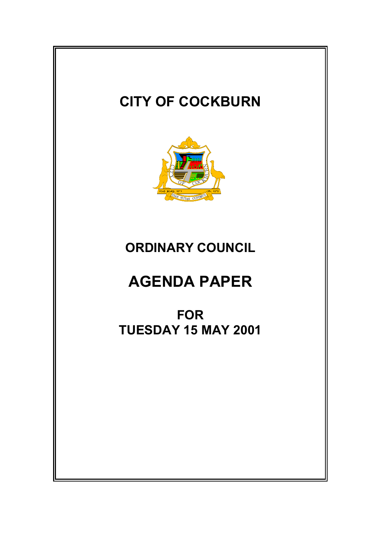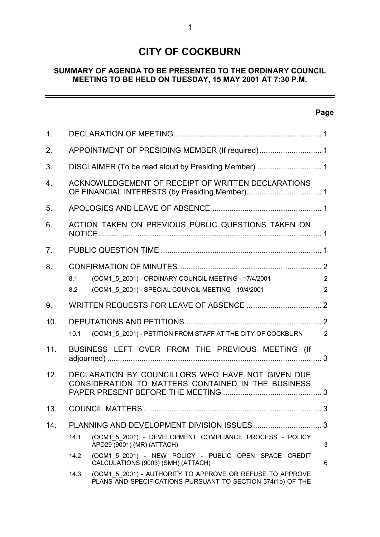# **CITY OF COCKBURN**

# **SUMMARY OF AGENDA TO BE PRESENTED TO THE ORDINARY COUNCIL MEETING TO BE HELD ON TUESDAY, 15 MAY 2001 AT 7:30 P.M.**

# **Page**

 $\equiv$ 

| 1.             |                                                                                                                                  |                |  |
|----------------|----------------------------------------------------------------------------------------------------------------------------------|----------------|--|
| 2.             |                                                                                                                                  |                |  |
| 3.             |                                                                                                                                  |                |  |
| 4.             | ACKNOWLEDGEMENT OF RECEIPT OF WRITTEN DECLARATIONS                                                                               |                |  |
| 5.             |                                                                                                                                  |                |  |
| 6.             | ACTION TAKEN ON PREVIOUS PUBLIC QUESTIONS TAKEN ON                                                                               |                |  |
| 7 <sub>1</sub> |                                                                                                                                  |                |  |
| 8.             |                                                                                                                                  |                |  |
|                | (OCM1 5 2001) - ORDINARY COUNCIL MEETING - 17/4/2001<br>8.1                                                                      | $\overline{2}$ |  |
|                | (OCM1 5 2001) - SPECIAL COUNCIL MEETING - 19/4/2001<br>8.2                                                                       | $\overline{2}$ |  |
| 9.             |                                                                                                                                  |                |  |
| 10.            |                                                                                                                                  |                |  |
|                | (OCM1 5 2001) - PETITION FROM STAFF AT THE CITY OF COCKBURN<br>10.1                                                              | $\overline{2}$ |  |
| 11.            | BUSINESS LEFT OVER FROM THE PREVIOUS MEETING (If                                                                                 |                |  |
| 12.            | DECLARATION BY COUNCILLORS WHO HAVE NOT GIVEN DUE                                                                                |                |  |
|                | CONSIDERATION TO MATTERS CONTAINED IN THE BUSINESS                                                                               |                |  |
| 13.            |                                                                                                                                  |                |  |
| 14.            |                                                                                                                                  | 3              |  |
|                | 14.1<br>(OCM1 5 2001) - DEVELOPMENT COMPLIANCE PROCESS - POLICY<br>APD29 (9001) (MR) (ATTACH)                                    | 3              |  |
|                | (OCM1_5_2001) - NEW POLICY - PUBLIC OPEN SPACE CREDIT<br>14.2<br>CALCULATIONS (9003) (SMH) (ATTACH)                              | 6              |  |
|                | (OCM1 5 2001) - AUTHORITY TO APPROVE OR REFUSE TO APPROVE<br>14.3<br>PLANS AND SPECIFICATIONS PURSUANT TO SECTION 374(1b) OF THE |                |  |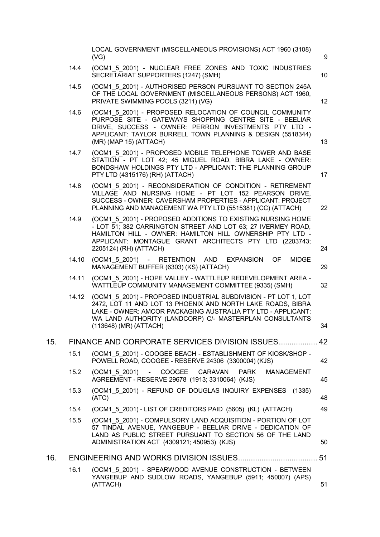|     |       | LOCAL GOVERNMENT (MISCELLANEOUS PROVISIONS) ACT 1960 (3108)<br>(VG)                                                                                                                                                                                                                 | 9  |
|-----|-------|-------------------------------------------------------------------------------------------------------------------------------------------------------------------------------------------------------------------------------------------------------------------------------------|----|
|     | 14.4  | (OCM1_5_2001) - NUCLEAR FREE ZONES AND TOXIC INDUSTRIES<br>SECRETARIAT SUPPORTERS (1247) (SMH)                                                                                                                                                                                      | 10 |
|     | 14.5  | (OCM1 5 2001) - AUTHORISED PERSON PURSUANT TO SECTION 245A<br>OF THE LOCAL GOVERNMENT (MISCELLANEOUS PERSONS) ACT 1960,<br>PRIVATE SWIMMING POOLS (3211) (VG)                                                                                                                       | 12 |
|     | 14.6  | (OCM1 5 2001) - PROPOSED RELOCATION OF COUNCIL COMMUNITY<br>PURPOSE SITE - GATEWAYS SHOPPING CENTRE SITE - BEELIAR<br>DRIVE, SUCCESS - OWNER: PERRON INVESTMENTS PTY LTD -<br>APPLICANT: TAYLOR BURRELL TOWN PLANNING & DESIGN (5518344)<br>(MR) (MAP 15) (ATTACH)                  | 13 |
|     | 14.7  | (OCM1_5_2001) - PROPOSED MOBILE TELEPHONE TOWER AND BASE<br>STATION - PT LOT 42; 45 MIGUEL ROAD, BIBRA LAKE - OWNER:<br>BONDSHAW HOLDINGS PTY LTD - APPLICANT: THE PLANNING GROUP<br>PTY LTD (4315176) (RH) (ATTACH)                                                                | 17 |
|     | 14.8  | (OCM1 5 2001) - RECONSIDERATION OF CONDITION - RETIREMENT<br>VILLAGE AND NURSING HOME - PT LOT 152 PEARSON DRIVE,<br>SUCCESS - OWNER: CAVERSHAM PROPERTIES - APPLICANT: PROJECT<br>PLANNING AND MANAGEMENT WA PTY LTD (5515381) (CC) (ATTACH)                                       | 22 |
|     | 14.9  | (OCM1 5 2001) - PROPOSED ADDITIONS TO EXISTING NURSING HOME<br>- LOT 51; 382 CARRINGTON STREET AND LOT 63; 27 IVERMEY ROAD,<br>HAMILTON HILL - OWNER: HAMILTON HILL OWNERSHIP PTY LTD -<br>APPLICANT: MONTAGUE GRANT ARCHITECTS PTY LTD (2203743;<br>2205124) (RH) (ATTACH)         | 24 |
|     | 14.10 | (OCM1 5 2001) - RETENTION AND EXPANSION<br>OF.<br><b>MIDGE</b><br>MANAGEMENT BUFFER (6303) (KS) (ATTACH)                                                                                                                                                                            | 29 |
|     | 14.11 | (OCM1 5 2001) - HOPE VALLEY - WATTLEUP REDEVELOPMENT AREA -<br>WATTLEUP COMMUNITY MANAGEMENT COMMITTEE (9335) (SMH)                                                                                                                                                                 | 32 |
|     | 14.12 | (OCM1 5 2001) - PROPOSED INDUSTRIAL SUBDIVISION - PT LOT 1, LOT<br>2472, LOT 11 AND LOT 13 PHOENIX AND NORTH LAKE ROADS, BIBRA<br>LAKE - OWNER: AMCOR PACKAGING AUSTRALIA PTY LTD - APPLICANT:<br>WA LAND AUTHORITY (LANDCORP) C/- MASTERPLAN CONSULTANTS<br>(113648) (MR) (ATTACH) | 34 |
| 15. |       | FINANCE AND CORPORATE SERVICES DIVISION ISSUES 42                                                                                                                                                                                                                                   |    |
|     | 15.1  | (OCM1_5_2001) - COOGEE BEACH - ESTABLISHMENT OF KIOSK/SHOP -<br>POWELL ROAD, COOGEE - RESERVE 24306 (3300004) (KJS)                                                                                                                                                                 | 42 |
|     | 15.2  | (OCM1 5 2001) - COOGEE<br>CARAVAN<br><b>PARK</b><br><b>MANAGEMENT</b><br>AGREEMENT - RESERVE 29678 (1913; 3310064) (KJS)                                                                                                                                                            | 45 |
|     | 15.3  | (OCM1 5 2001) - REFUND OF DOUGLAS INQUIRY EXPENSES (1335)<br>(ATC)                                                                                                                                                                                                                  | 48 |
|     | 15.4  | (OCM1 5 2001) - LIST OF CREDITORS PAID (5605) (KL) (ATTACH)                                                                                                                                                                                                                         | 49 |
|     | 15.5  | (OCM1 5 2001) - COMPULSORY LAND ACQUISITION - PORTION OF LOT<br>57 TINDAL AVENUE, YANGEBUP - BEELIAR DRIVE - DEDICATION OF<br>LAND AS PUBLIC STREET PURSUANT TO SECTION 56 OF THE LAND<br>ADMINISTRATION ACT (4309121; 450953) (KJS)                                                | 50 |
| 16. |       |                                                                                                                                                                                                                                                                                     |    |
|     | 16.1  | (OCM1 5 2001) - SPEARWOOD AVENUE CONSTRUCTION - BETWEEN<br>YANGEBUP AND SUDLOW ROADS, YANGEBUP (5911; 450007) (APS)<br>(ATTACH)                                                                                                                                                     | 51 |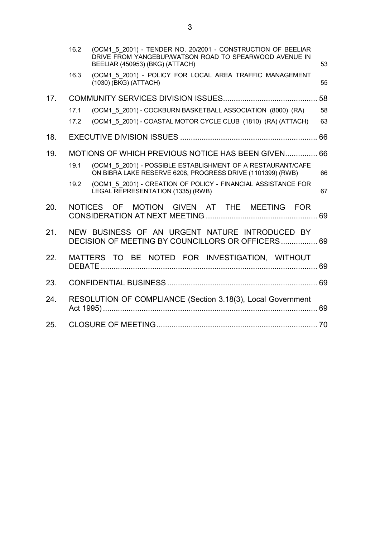|     | 16.2 | (OCM1 5 2001) - TENDER NO. 20/2001 - CONSTRUCTION OF BEELIAR<br>DRIVE FROM YANGEBUP/WATSON ROAD TO SPEARWOOD AVENUE IN<br>BEELIAR (450953) (BKG) (ATTACH) | 53 |
|-----|------|-----------------------------------------------------------------------------------------------------------------------------------------------------------|----|
|     | 16.3 | (OCM1 5 2001) - POLICY FOR LOCAL AREA TRAFFIC MANAGEMENT<br>(1030) (BKG) (ATTACH)                                                                         | 55 |
| 17. |      |                                                                                                                                                           | 58 |
|     | 17.1 | (OCM1 5 2001) - COCKBURN BASKETBALL ASSOCIATION (8000) (RA)                                                                                               | 58 |
|     | 17.2 | (OCM1 5 2001) - COASTAL MOTOR CYCLE CLUB (1810) (RA) (ATTACH)                                                                                             | 63 |
| 18. |      |                                                                                                                                                           |    |
| 19. |      | MOTIONS OF WHICH PREVIOUS NOTICE HAS BEEN GIVEN 66                                                                                                        |    |
|     | 19.1 | (OCM1 5 2001) - POSSIBLE ESTABLISHMENT OF A RESTAURANT/CAFE<br>ON BIBRA LAKE RESERVE 6208, PROGRESS DRIVE (1101399) (RWB)                                 | 66 |
|     | 19.2 | (OCM1 5 2001) - CREATION OF POLICY - FINANCIAL ASSISTANCE FOR<br>LEGAL REPRESENTATION (1335) (RWB)                                                        | 67 |
| 20. |      | NOTICES OF MOTION GIVEN AT THE MEETING FOR                                                                                                                |    |
| 21. |      | NEW BUSINESS OF AN URGENT NATURE INTRODUCED BY<br>DECISION OF MEETING BY COUNCILLORS OR OFFICERS 69                                                       |    |
| 22. |      | MATTERS TO BE NOTED FOR INVESTIGATION, WITHOUT                                                                                                            |    |
| 23. |      |                                                                                                                                                           |    |
| 24. |      | RESOLUTION OF COMPLIANCE (Section 3.18(3), Local Government                                                                                               |    |
| 25. |      |                                                                                                                                                           |    |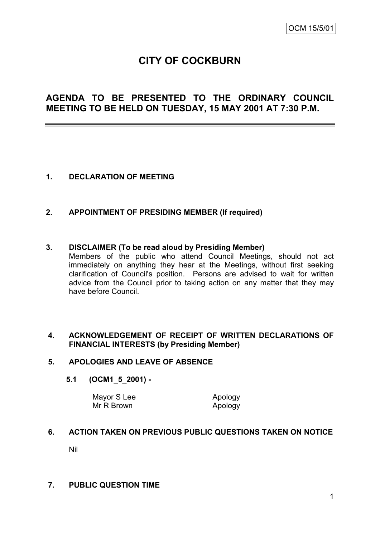# **CITY OF COCKBURN**

# **AGENDA TO BE PRESENTED TO THE ORDINARY COUNCIL MEETING TO BE HELD ON TUESDAY, 15 MAY 2001 AT 7:30 P.M.**

# **1. DECLARATION OF MEETING**

## **2. APPOINTMENT OF PRESIDING MEMBER (If required)**

#### **3. DISCLAIMER (To be read aloud by Presiding Member)**

Members of the public who attend Council Meetings, should not act immediately on anything they hear at the Meetings, without first seeking clarification of Council's position. Persons are advised to wait for written advice from the Council prior to taking action on any matter that they may have before Council.

## **4. ACKNOWLEDGEMENT OF RECEIPT OF WRITTEN DECLARATIONS OF FINANCIAL INTERESTS (by Presiding Member)**

### **5. APOLOGIES AND LEAVE OF ABSENCE**

#### **5.1 (OCM1\_5\_2001) -**

Mayor S Lee Apology Mr R Brown Apology

## **6. ACTION TAKEN ON PREVIOUS PUBLIC QUESTIONS TAKEN ON NOTICE**

Nil

## **7. PUBLIC QUESTION TIME**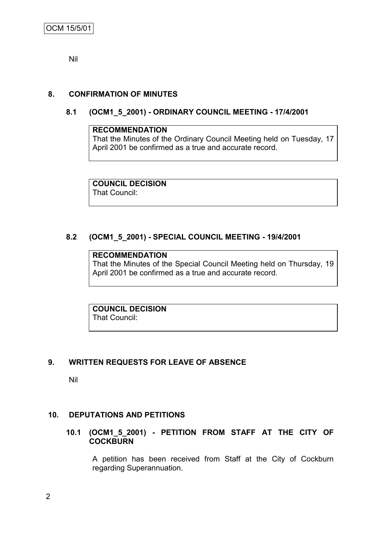Nil

# **8. CONFIRMATION OF MINUTES**

# **8.1 (OCM1\_5\_2001) - ORDINARY COUNCIL MEETING - 17/4/2001**

#### **RECOMMENDATION**

That the Minutes of the Ordinary Council Meeting held on Tuesday, 17 April 2001 be confirmed as a true and accurate record.

**COUNCIL DECISION** That Council:

# **8.2 (OCM1\_5\_2001) - SPECIAL COUNCIL MEETING - 19/4/2001**

# **RECOMMENDATION**

That the Minutes of the Special Council Meeting held on Thursday, 19 April 2001 be confirmed as a true and accurate record.

**COUNCIL DECISION** That Council:

# **9. WRITTEN REQUESTS FOR LEAVE OF ABSENCE**

Nil

## **10. DEPUTATIONS AND PETITIONS**

## **10.1 (OCM1\_5\_2001) - PETITION FROM STAFF AT THE CITY OF COCKBURN**

A petition has been received from Staff at the City of Cockburn regarding Superannuation.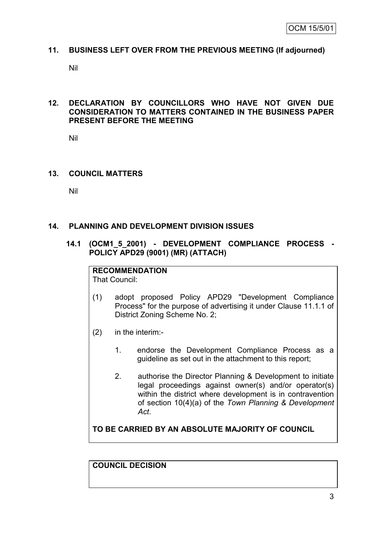## **11. BUSINESS LEFT OVER FROM THE PREVIOUS MEETING (If adjourned)**

Nil

# **12. DECLARATION BY COUNCILLORS WHO HAVE NOT GIVEN DUE CONSIDERATION TO MATTERS CONTAINED IN THE BUSINESS PAPER PRESENT BEFORE THE MEETING**

Nil

## **13. COUNCIL MATTERS**

Nil

## **14. PLANNING AND DEVELOPMENT DIVISION ISSUES**

**14.1 (OCM1\_5\_2001) - DEVELOPMENT COMPLIANCE PROCESS - POLICY APD29 (9001) (MR) (ATTACH)**

# **RECOMMENDATION**

That Council:

- (1) adopt proposed Policy APD29 "Development Compliance Process" for the purpose of advertising it under Clause 11.1.1 of District Zoning Scheme No. 2;
- (2) in the interim:-
	- 1. endorse the Development Compliance Process as a guideline as set out in the attachment to this report;
	- 2. authorise the Director Planning & Development to initiate legal proceedings against owner(s) and/or operator(s) within the district where development is in contravention of section 10(4)(a) of the *Town Planning & Development Act*.

**TO BE CARRIED BY AN ABSOLUTE MAJORITY OF COUNCIL**

**COUNCIL DECISION**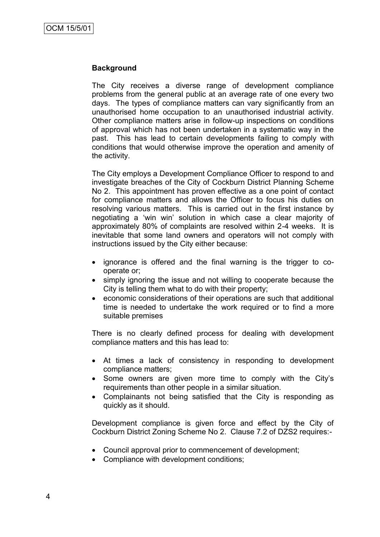## **Background**

The City receives a diverse range of development compliance problems from the general public at an average rate of one every two days. The types of compliance matters can vary significantly from an unauthorised home occupation to an unauthorised industrial activity. Other compliance matters arise in follow-up inspections on conditions of approval which has not been undertaken in a systematic way in the past. This has lead to certain developments failing to comply with conditions that would otherwise improve the operation and amenity of the activity.

The City employs a Development Compliance Officer to respond to and investigate breaches of the City of Cockburn District Planning Scheme No 2. This appointment has proven effective as a one point of contact for compliance matters and allows the Officer to focus his duties on resolving various matters. This is carried out in the first instance by negotiating a "win win" solution in which case a clear majority of approximately 80% of complaints are resolved within 2-4 weeks. It is inevitable that some land owners and operators will not comply with instructions issued by the City either because:

- ignorance is offered and the final warning is the trigger to cooperate or;
- simply ignoring the issue and not willing to cooperate because the City is telling them what to do with their property;
- economic considerations of their operations are such that additional time is needed to undertake the work required or to find a more suitable premises

There is no clearly defined process for dealing with development compliance matters and this has lead to:

- At times a lack of consistency in responding to development compliance matters;
- Some owners are given more time to comply with the City's requirements than other people in a similar situation.
- Complainants not being satisfied that the City is responding as quickly as it should.

Development compliance is given force and effect by the City of Cockburn District Zoning Scheme No 2. Clause 7.2 of DZS2 requires:-

- Council approval prior to commencement of development;
- Compliance with development conditions;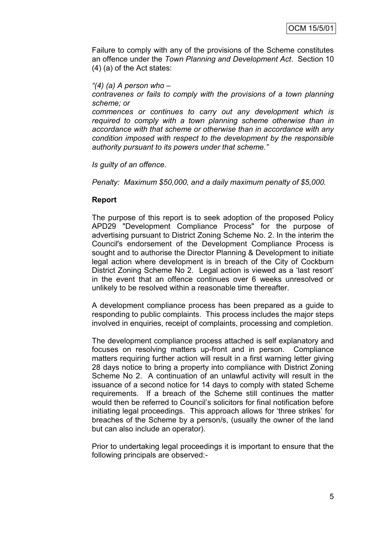Failure to comply with any of the provisions of the Scheme constitutes an offence under the *Town Planning and Development Act*. Section 10 (4) (a) of the Act states:

#### *"(4) (a) A person who –*

*contravenes or fails to comply with the provisions of a town planning scheme; or*

*commences or continues to carry out any development which is required to comply with a town planning scheme otherwise than in accordance with that scheme or otherwise than in accordance with any condition imposed with respect to the development by the responsible authority pursuant to its powers under that scheme."*

*Is guilty of an offence.*

*Penalty: Maximum \$50,000, and a daily maximum penalty of \$5,000.*

#### **Report**

The purpose of this report is to seek adoption of the proposed Policy APD29 "Development Compliance Process" for the purpose of advertising pursuant to District Zoning Scheme No. 2. In the interim the Council's endorsement of the Development Compliance Process is sought and to authorise the Director Planning & Development to initiate legal action where development is in breach of the City of Cockburn District Zoning Scheme No 2. Legal action is viewed as a "last resort" in the event that an offence continues over 6 weeks unresolved or unlikely to be resolved within a reasonable time thereafter.

A development compliance process has been prepared as a guide to responding to public complaints. This process includes the major steps involved in enquiries, receipt of complaints, processing and completion.

The development compliance process attached is self explanatory and focuses on resolving matters up-front and in person. Compliance matters requiring further action will result in a first warning letter giving 28 days notice to bring a property into compliance with District Zoning Scheme No 2. A continuation of an unlawful activity will result in the issuance of a second notice for 14 days to comply with stated Scheme requirements. If a breach of the Scheme still continues the matter would then be referred to Council"s solicitors for final notification before initiating legal proceedings. This approach allows for "three strikes" for breaches of the Scheme by a person/s, (usually the owner of the land but can also include an operator).

Prior to undertaking legal proceedings it is important to ensure that the following principals are observed:-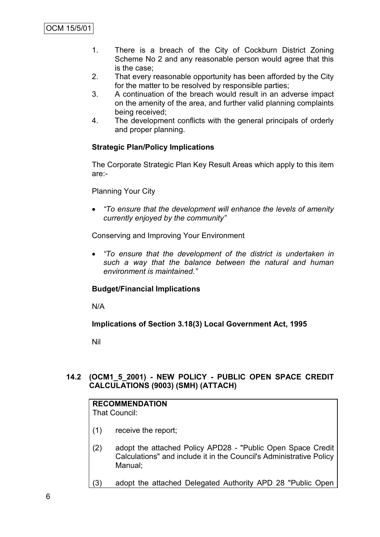- 1. There is a breach of the City of Cockburn District Zoning Scheme No 2 and any reasonable person would agree that this is the case;
- 2. That every reasonable opportunity has been afforded by the City for the matter to be resolved by responsible parties;
- 3. A continuation of the breach would result in an adverse impact on the amenity of the area, and further valid planning complaints being received;
- 4. The development conflicts with the general principals of orderly and proper planning.

# **Strategic Plan/Policy Implications**

The Corporate Strategic Plan Key Result Areas which apply to this item are:-

# Planning Your City

 *"To ensure that the development will enhance the levels of amenity currently enjoyed by the community"*

Conserving and Improving Your Environment

 *"To ensure that the development of the district is undertaken in such a way that the balance between the natural and human environment is maintained."*

# **Budget/Financial Implications**

N/A

**Implications of Section 3.18(3) Local Government Act, 1995**

Nil

# **14.2 (OCM1\_5\_2001) - NEW POLICY - PUBLIC OPEN SPACE CREDIT CALCULATIONS (9003) (SMH) (ATTACH)**

# **RECOMMENDATION**

That Council:

- (1) receive the report;
- (2) adopt the attached Policy APD28 "Public Open Space Credit Calculations" and include it in the Council's Administrative Policy Manual;
- (3) adopt the attached Delegated Authority APD 28 "Public Open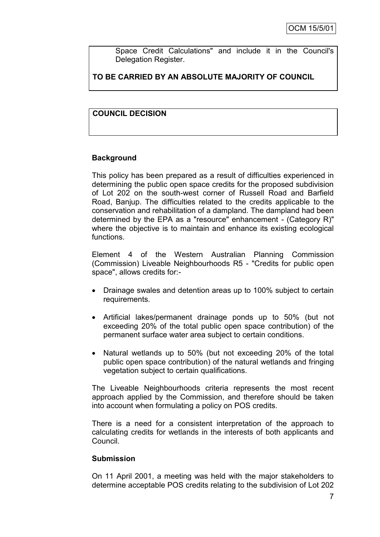Space Credit Calculations" and include it in the Council's Delegation Register.

# **TO BE CARRIED BY AN ABSOLUTE MAJORITY OF COUNCIL**

# **COUNCIL DECISION**

# **Background**

This policy has been prepared as a result of difficulties experienced in determining the public open space credits for the proposed subdivision of Lot 202 on the south-west corner of Russell Road and Barfield Road, Banjup. The difficulties related to the credits applicable to the conservation and rehabilitation of a dampland. The dampland had been determined by the EPA as a "resource" enhancement - (Category R)" where the objective is to maintain and enhance its existing ecological functions.

Element 4 of the Western Australian Planning Commission (Commission) Liveable Neighbourhoods R5 - "Credits for public open space", allows credits for:-

- Drainage swales and detention areas up to 100% subject to certain requirements.
- Artificial lakes/permanent drainage ponds up to 50% (but not exceeding 20% of the total public open space contribution) of the permanent surface water area subject to certain conditions.
- Natural wetlands up to 50% (but not exceeding 20% of the total public open space contribution) of the natural wetlands and fringing vegetation subject to certain qualifications.

The Liveable Neighbourhoods criteria represents the most recent approach applied by the Commission, and therefore should be taken into account when formulating a policy on POS credits.

There is a need for a consistent interpretation of the approach to calculating credits for wetlands in the interests of both applicants and Council.

## **Submission**

On 11 April 2001, a meeting was held with the major stakeholders to determine acceptable POS credits relating to the subdivision of Lot 202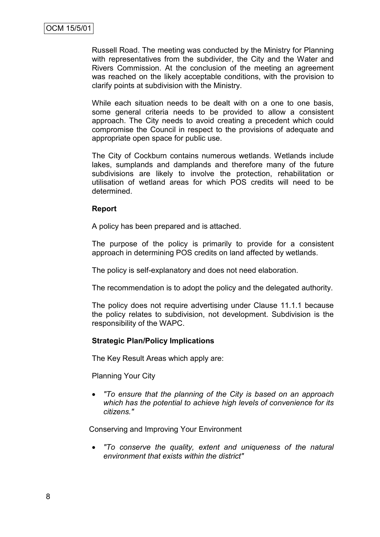Russell Road. The meeting was conducted by the Ministry for Planning with representatives from the subdivider, the City and the Water and Rivers Commission. At the conclusion of the meeting an agreement was reached on the likely acceptable conditions, with the provision to clarify points at subdivision with the Ministry.

While each situation needs to be dealt with on a one to one basis, some general criteria needs to be provided to allow a consistent approach. The City needs to avoid creating a precedent which could compromise the Council in respect to the provisions of adequate and appropriate open space for public use.

The City of Cockburn contains numerous wetlands. Wetlands include lakes, sumplands and damplands and therefore many of the future subdivisions are likely to involve the protection, rehabilitation or utilisation of wetland areas for which POS credits will need to be determined.

#### **Report**

A policy has been prepared and is attached.

The purpose of the policy is primarily to provide for a consistent approach in determining POS credits on land affected by wetlands.

The policy is self-explanatory and does not need elaboration.

The recommendation is to adopt the policy and the delegated authority.

The policy does not require advertising under Clause 11.1.1 because the policy relates to subdivision, not development. Subdivision is the responsibility of the WAPC.

## **Strategic Plan/Policy Implications**

The Key Result Areas which apply are:

Planning Your City

 *"To ensure that the planning of the City is based on an approach which has the potential to achieve high levels of convenience for its citizens."*

Conserving and Improving Your Environment

 *"To conserve the quality, extent and uniqueness of the natural environment that exists within the district"*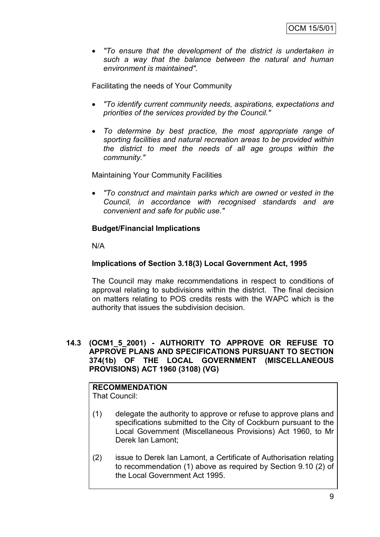*"To ensure that the development of the district is undertaken in such a way that the balance between the natural and human environment is maintained".*

Facilitating the needs of Your Community

- *"To identify current community needs, aspirations, expectations and priorities of the services provided by the Council."*
- *To determine by best practice, the most appropriate range of sporting facilities and natural recreation areas to be provided within the district to meet the needs of all age groups within the community."*

Maintaining Your Community Facilities

 *"To construct and maintain parks which are owned or vested in the Council, in accordance with recognised standards and are convenient and safe for public use."*

# **Budget/Financial Implications**

N/A

# **Implications of Section 3.18(3) Local Government Act, 1995**

The Council may make recommendations in respect to conditions of approval relating to subdivisions within the district. The final decision on matters relating to POS credits rests with the WAPC which is the authority that issues the subdivision decision.

## **14.3 (OCM1\_5\_2001) - AUTHORITY TO APPROVE OR REFUSE TO APPROVE PLANS AND SPECIFICATIONS PURSUANT TO SECTION 374(1b) OF THE LOCAL GOVERNMENT (MISCELLANEOUS PROVISIONS) ACT 1960 (3108) (VG)**

# **RECOMMENDATION**

That Council:

- (1) delegate the authority to approve or refuse to approve plans and specifications submitted to the City of Cockburn pursuant to the Local Government (Miscellaneous Provisions) Act 1960, to Mr Derek Ian Lamont;
- (2) issue to Derek Ian Lamont, a Certificate of Authorisation relating to recommendation (1) above as required by Section 9.10 (2) of the Local Government Act 1995.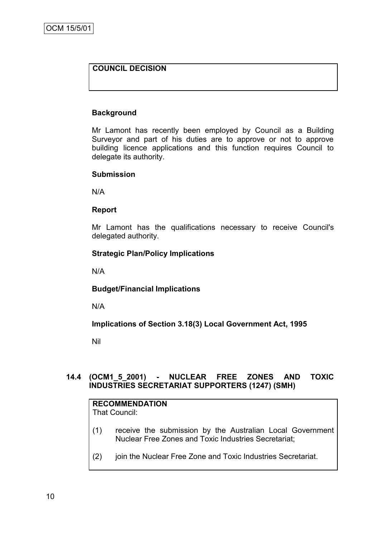# **COUNCIL DECISION**

# **Background**

Mr Lamont has recently been employed by Council as a Building Surveyor and part of his duties are to approve or not to approve building licence applications and this function requires Council to delegate its authority.

## **Submission**

N/A

## **Report**

Mr Lamont has the qualifications necessary to receive Council's delegated authority.

# **Strategic Plan/Policy Implications**

N/A

# **Budget/Financial Implications**

N/A

**Implications of Section 3.18(3) Local Government Act, 1995**

Nil

# **14.4 (OCM1\_5\_2001) - NUCLEAR FREE ZONES AND TOXIC INDUSTRIES SECRETARIAT SUPPORTERS (1247) (SMH)**

# **RECOMMENDATION**

That Council:

- (1) receive the submission by the Australian Local Government Nuclear Free Zones and Toxic Industries Secretariat;
- (2) join the Nuclear Free Zone and Toxic Industries Secretariat.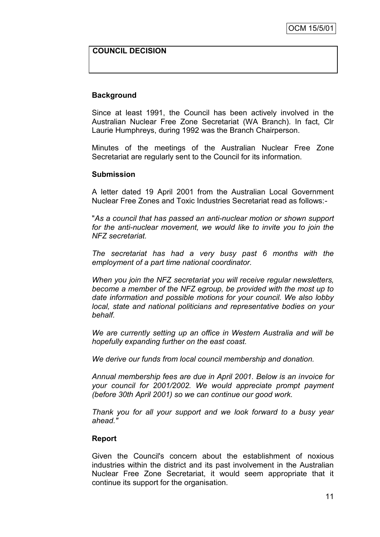## **COUNCIL DECISION**

#### **Background**

Since at least 1991, the Council has been actively involved in the Australian Nuclear Free Zone Secretariat (WA Branch). In fact, Clr Laurie Humphreys, during 1992 was the Branch Chairperson.

Minutes of the meetings of the Australian Nuclear Free Zone Secretariat are regularly sent to the Council for its information.

#### **Submission**

A letter dated 19 April 2001 from the Australian Local Government Nuclear Free Zones and Toxic Industries Secretariat read as follows:-

"*As a council that has passed an anti-nuclear motion or shown support for the anti-nuclear movement, we would like to invite you to join the NFZ secretariat.*

*The secretariat has had a very busy past 6 months with the employment of a part time national coordinator.*

*When you join the NFZ secretariat you will receive regular newsletters, become a member of the NFZ egroup, be provided with the most up to date information and possible motions for your council. We also lobby local, state and national politicians and representative bodies on your behalf.*

*We are currently setting up an office in Western Australia and will be hopefully expanding further on the east coast.*

*We derive our funds from local council membership and donation.*

*Annual membership fees are due in April 2001. Below is an invoice for your council for 2001/2002. We would appreciate prompt payment (before 30th April 2001) so we can continue our good work.*

*Thank you for all your support and we look forward to a busy year ahead."*

#### **Report**

Given the Council's concern about the establishment of noxious industries within the district and its past involvement in the Australian Nuclear Free Zone Secretariat, it would seem appropriate that it continue its support for the organisation.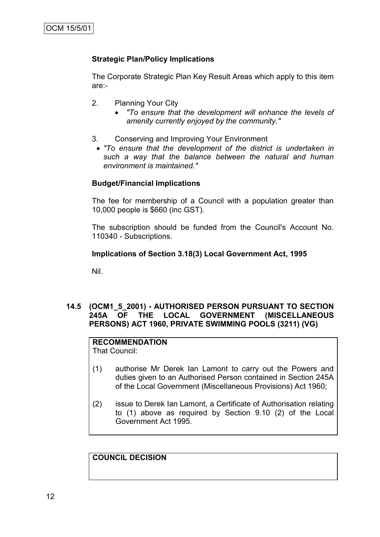# **Strategic Plan/Policy Implications**

The Corporate Strategic Plan Key Result Areas which apply to this item are:-

- 2. Planning Your City
	- *"To ensure that the development will enhance the levels of amenity currently enjoyed by the community."*
- 3. Conserving and Improving Your Environment
- *"To ensure that the development of the district is undertaken in such a way that the balance between the natural and human environment is maintained."*

#### **Budget/Financial Implications**

The fee for membership of a Council with a population greater than 10,000 people is \$660 (inc GST).

The subscription should be funded from the Council's Account No. 110340 - Subscriptions.

#### **Implications of Section 3.18(3) Local Government Act, 1995**

Nil.

#### **14.5 (OCM1\_5\_2001) - AUTHORISED PERSON PURSUANT TO SECTION 245A OF THE LOCAL GOVERNMENT (MISCELLANEOUS PERSONS) ACT 1960, PRIVATE SWIMMING POOLS (3211) (VG)**

# **RECOMMENDATION**

That Council:

- (1) authorise Mr Derek Ian Lamont to carry out the Powers and duties given to an Authorised Person contained in Section 245A of the Local Government (Miscellaneous Provisions) Act 1960;
- (2) issue to Derek Ian Lamont, a Certificate of Authorisation relating to (1) above as required by Section 9.10 (2) of the Local Government Act 1995.

**COUNCIL DECISION**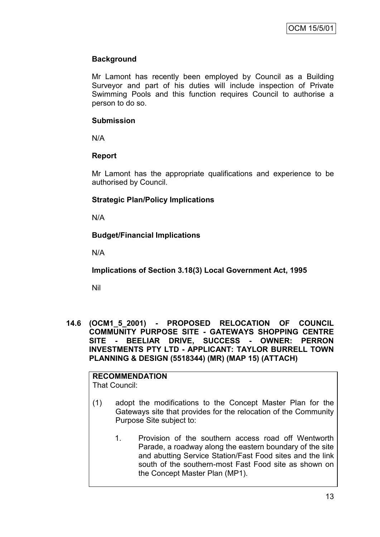# **Background**

Mr Lamont has recently been employed by Council as a Building Surveyor and part of his duties will include inspection of Private Swimming Pools and this function requires Council to authorise a person to do so.

## **Submission**

N/A

# **Report**

Mr Lamont has the appropriate qualifications and experience to be authorised by Council.

# **Strategic Plan/Policy Implications**

N/A

# **Budget/Financial Implications**

N/A

**Implications of Section 3.18(3) Local Government Act, 1995**

Nil

**14.6 (OCM1\_5\_2001) - PROPOSED RELOCATION OF COUNCIL COMMUNITY PURPOSE SITE - GATEWAYS SHOPPING CENTRE SITE - BEELIAR DRIVE, SUCCESS - OWNER: PERRON INVESTMENTS PTY LTD - APPLICANT: TAYLOR BURRELL TOWN PLANNING & DESIGN (5518344) (MR) (MAP 15) (ATTACH)**

#### **RECOMMENDATION** That Council:

- (1) adopt the modifications to the Concept Master Plan for the Gateways site that provides for the relocation of the Community Purpose Site subject to:
	- 1. Provision of the southern access road off Wentworth Parade, a roadway along the eastern boundary of the site and abutting Service Station/Fast Food sites and the link south of the southern-most Fast Food site as shown on the Concept Master Plan (MP1).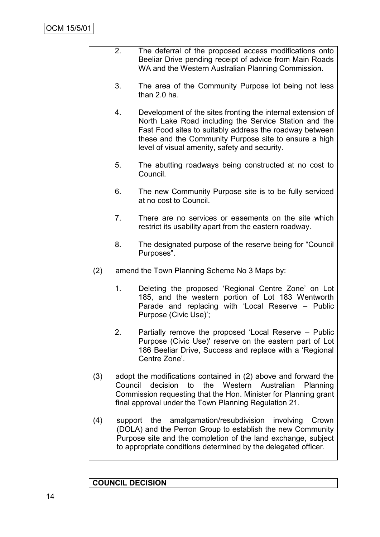2. The deferral of the proposed access modifications onto Beeliar Drive pending receipt of advice from Main Roads WA and the Western Australian Planning Commission. 3. The area of the Community Purpose lot being not less than 2.0 ha. 4. Development of the sites fronting the internal extension of North Lake Road including the Service Station and the Fast Food sites to suitably address the roadway between these and the Community Purpose site to ensure a high level of visual amenity, safety and security. 5. The abutting roadways being constructed at no cost to Council. 6. The new Community Purpose site is to be fully serviced at no cost to Council. 7. There are no services or easements on the site which restrict its usability apart from the eastern roadway. 8. The designated purpose of the reserve being for "Council Purposes". (2) amend the Town Planning Scheme No 3 Maps by: 1. Deleting the proposed "Regional Centre Zone" on Lot 185, and the western portion of Lot 183 Wentworth Parade and replacing with "Local Reserve – Public Purpose (Civic Use)"; 2. Partially remove the proposed "Local Reserve – Public Purpose (Civic Use)' reserve on the eastern part of Lot 186 Beeliar Drive, Success and replace with a "Regional Centre Zone'. (3) adopt the modifications contained in (2) above and forward the Council decision to the Western Australian Planning Commission requesting that the Hon. Minister for Planning grant final approval under the Town Planning Regulation 21. (4) support the amalgamation/resubdivision involving Crown (DOLA) and the Perron Group to establish the new Community Purpose site and the completion of the land exchange, subject to appropriate conditions determined by the delegated officer.

## **COUNCIL DECISION**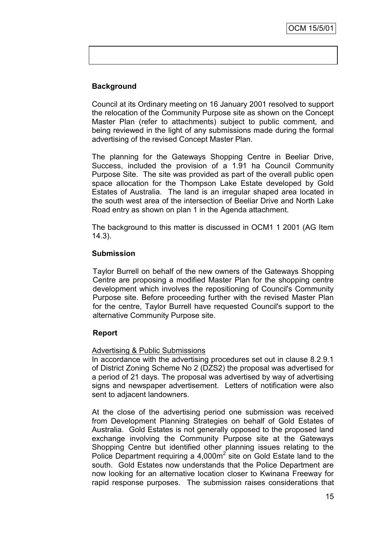# **Background**

Council at its Ordinary meeting on 16 January 2001 resolved to support the relocation of the Community Purpose site as shown on the Concept Master Plan (refer to attachments) subject to public comment, and being reviewed in the light of any submissions made during the formal advertising of the revised Concept Master Plan.

The planning for the Gateways Shopping Centre in Beeliar Drive, Success, included the provision of a 1.91 ha Council Community Purpose Site. The site was provided as part of the overall public open space allocation for the Thompson Lake Estate developed by Gold Estates of Australia. The land is an irregular shaped area located in the south west area of the intersection of Beeliar Drive and North Lake Road entry as shown on plan 1 in the Agenda attachment.

The background to this matter is discussed in OCM1 1 2001 (AG Item 14.3).

## **Submission**

Taylor Burrell on behalf of the new owners of the Gateways Shopping Centre are proposing a modified Master Plan for the shopping centre development which involves the repositioning of Council's Community Purpose site. Before proceeding further with the revised Master Plan for the centre, Taylor Burrell have requested Council's support to the alternative Community Purpose site.

## **Report**

## Advertising & Public Submissions

In accordance with the advertising procedures set out in clause 8.2.9.1 of District Zoning Scheme No 2 (DZS2) the proposal was advertised for a period of 21 days. The proposal was advertised by way of advertising signs and newspaper advertisement. Letters of notification were also sent to adjacent landowners.

At the close of the advertising period one submission was received from Development Planning Strategies on behalf of Gold Estates of Australia. Gold Estates is not generally opposed to the proposed land exchange involving the Community Purpose site at the Gateways Shopping Centre but identified other planning issues relating to the Police Department requiring a  $4,000m^2$  site on Gold Estate land to the south. Gold Estates now understands that the Police Department are now looking for an alternative location closer to Kwinana Freeway for rapid response purposes. The submission raises considerations that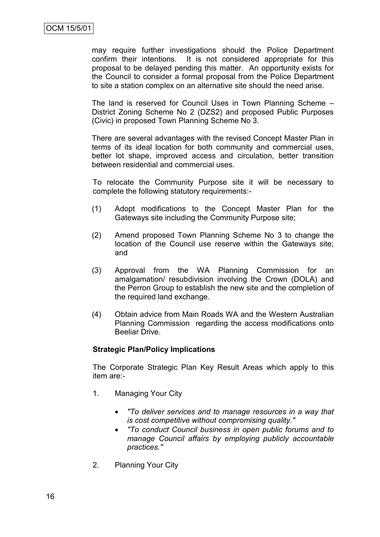may require further investigations should the Police Department confirm their intentions. It is not considered appropriate for this proposal to be delayed pending this matter. An opportunity exists for the Council to consider a formal proposal from the Police Department to site a station complex on an alternative site should the need arise.

The land is reserved for Council Uses in Town Planning Scheme – District Zoning Scheme No 2 (DZS2) and proposed Public Purposes (Civic) in proposed Town Planning Scheme No 3.

There are several advantages with the revised Concept Master Plan in terms of its ideal location for both community and commercial uses, better lot shape, improved access and circulation, better transition between residential and commercial uses.

To relocate the Community Purpose site it will be necessary to complete the following statutory requirements:-

- (1) Adopt modifications to the Concept Master Plan for the Gateways site including the Community Purpose site;
- (2) Amend proposed Town Planning Scheme No 3 to change the location of the Council use reserve within the Gateways site; and
- (3) Approval from the WA Planning Commission for an amalgamation/ resubdivision involving the Crown (DOLA) and the Perron Group to establish the new site and the completion of the required land exchange.
- (4) Obtain advice from Main Roads WA and the Western Australian Planning Commission regarding the access modifications onto Beeliar Drive.

## **Strategic Plan/Policy Implications**

The Corporate Strategic Plan Key Result Areas which apply to this item are:-

- 1. Managing Your City
	- *"To deliver services and to manage resources in a way that is cost competitive without compromising quality."*
	- *"To conduct Council business in open public forums and to manage Council affairs by employing publicly accountable practices."*
- 2. Planning Your City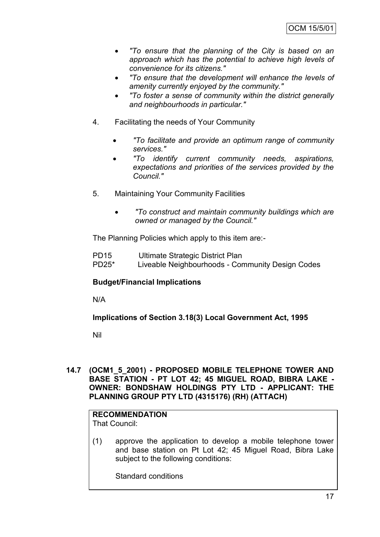- *"To ensure that the planning of the City is based on an approach which has the potential to achieve high levels of convenience for its citizens."*
- *"To ensure that the development will enhance the levels of amenity currently enjoyed by the community."*
- *"To foster a sense of community within the district generally and neighbourhoods in particular."*
- 4. Facilitating the needs of Your Community
	- *"To facilitate and provide an optimum range of community services."*
	- *"To identify current community needs, aspirations, expectations and priorities of the services provided by the Council."*
- 5. Maintaining Your Community Facilities
	- *"To construct and maintain community buildings which are owned or managed by the Council."*

The Planning Policies which apply to this item are:-

PD15 Ultimate Strategic District Plan PD25\* Liveable Neighbourhoods - Community Design Codes

# **Budget/Financial Implications**

N/A

**Implications of Section 3.18(3) Local Government Act, 1995**

Nil

**14.7 (OCM1\_5\_2001) - PROPOSED MOBILE TELEPHONE TOWER AND BASE STATION - PT LOT 42; 45 MIGUEL ROAD, BIBRA LAKE - OWNER: BONDSHAW HOLDINGS PTY LTD - APPLICANT: THE PLANNING GROUP PTY LTD (4315176) (RH) (ATTACH)**

# **RECOMMENDATION**

That Council:

(1) approve the application to develop a mobile telephone tower and base station on Pt Lot 42; 45 Miguel Road, Bibra Lake subject to the following conditions:

Standard conditions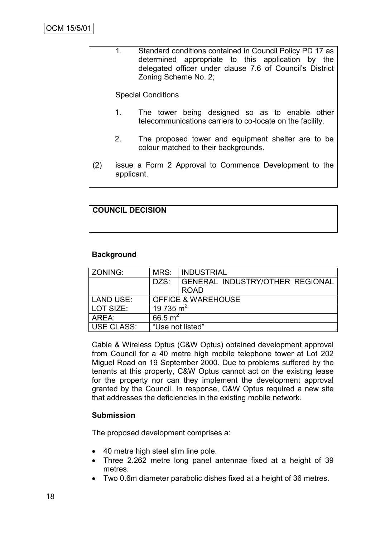|     | 1.<br>Standard conditions contained in Council Policy PD 17 as<br>determined appropriate to this application by the<br>delegated officer under clause 7.6 of Council's District<br>Zoning Scheme No. 2; |                                                                                                             |  |  |
|-----|---------------------------------------------------------------------------------------------------------------------------------------------------------------------------------------------------------|-------------------------------------------------------------------------------------------------------------|--|--|
|     | <b>Special Conditions</b>                                                                                                                                                                               |                                                                                                             |  |  |
|     | 1.                                                                                                                                                                                                      | The tower being designed so as to enable other<br>telecommunications carriers to co-locate on the facility. |  |  |
|     | 2.                                                                                                                                                                                                      | The proposed tower and equipment shelter are to be<br>colour matched to their backgrounds.                  |  |  |
| (2) | issue a Form 2 Approval to Commence Development to the<br>applicant.                                                                                                                                    |                                                                                                             |  |  |

# **COUNCIL DECISION**

# **Background**

| ZONING:             | MRS:                          | <b>INDUSTRIAL</b>               |  |
|---------------------|-------------------------------|---------------------------------|--|
|                     | DZS:                          | GENERAL INDUSTRY/OTHER REGIONAL |  |
|                     |                               | <b>ROAD</b>                     |  |
| <b>LAND USE:</b>    | <b>OFFICE &amp; WAREHOUSE</b> |                                 |  |
| LOT SIZE:           | 19 735 m <sup>2</sup>         |                                 |  |
| 66.5 $m^2$<br>AREA: |                               |                                 |  |
| USE CLASS:          | "Use not listed"              |                                 |  |

Cable & Wireless Optus (C&W Optus) obtained development approval from Council for a 40 metre high mobile telephone tower at Lot 202 Miguel Road on 19 September 2000. Due to problems suffered by the tenants at this property, C&W Optus cannot act on the existing lease for the property nor can they implement the development approval granted by the Council. In response, C&W Optus required a new site that addresses the deficiencies in the existing mobile network.

# **Submission**

The proposed development comprises a:

- 40 metre high steel slim line pole.
- Three 2.262 metre long panel antennae fixed at a height of 39 metres.
- Two 0.6m diameter parabolic dishes fixed at a height of 36 metres.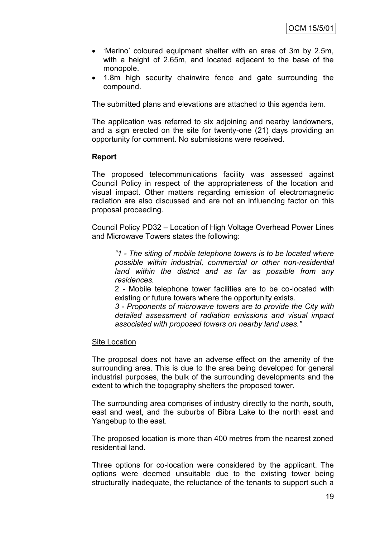- 'Merino' coloured equipment shelter with an area of 3m by 2.5m, with a height of 2.65m, and located adjacent to the base of the monopole.
- 1.8m high security chainwire fence and gate surrounding the compound.

The submitted plans and elevations are attached to this agenda item.

The application was referred to six adjoining and nearby landowners, and a sign erected on the site for twenty-one (21) days providing an opportunity for comment. No submissions were received.

#### **Report**

The proposed telecommunications facility was assessed against Council Policy in respect of the appropriateness of the location and visual impact. Other matters regarding emission of electromagnetic radiation are also discussed and are not an influencing factor on this proposal proceeding.

Council Policy PD32 – Location of High Voltage Overhead Power Lines and Microwave Towers states the following:

*"1 - The siting of mobile telephone towers is to be located where possible within industrial, commercial or other non-residential land within the district and as far as possible from any residences.*

2 - Mobile telephone tower facilities are to be co-located with existing or future towers where the opportunity exists.

*3 - Proponents of microwave towers are to provide the City with detailed assessment of radiation emissions and visual impact associated with proposed towers on nearby land uses."*

#### Site Location

The proposal does not have an adverse effect on the amenity of the surrounding area. This is due to the area being developed for general industrial purposes, the bulk of the surrounding developments and the extent to which the topography shelters the proposed tower.

The surrounding area comprises of industry directly to the north, south, east and west, and the suburbs of Bibra Lake to the north east and Yangebup to the east.

The proposed location is more than 400 metres from the nearest zoned residential land.

Three options for co-location were considered by the applicant. The options were deemed unsuitable due to the existing tower being structurally inadequate, the reluctance of the tenants to support such a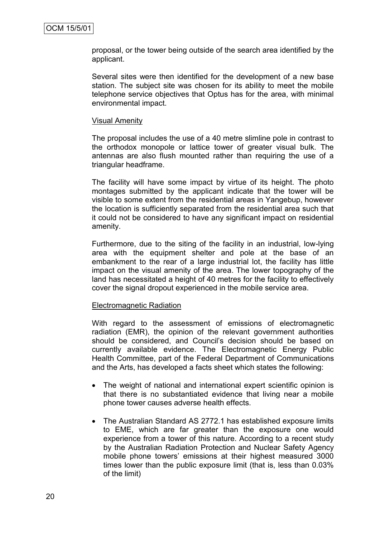proposal, or the tower being outside of the search area identified by the applicant.

Several sites were then identified for the development of a new base station. The subject site was chosen for its ability to meet the mobile telephone service objectives that Optus has for the area, with minimal environmental impact.

#### Visual Amenity

The proposal includes the use of a 40 metre slimline pole in contrast to the orthodox monopole or lattice tower of greater visual bulk. The antennas are also flush mounted rather than requiring the use of a triangular headframe.

The facility will have some impact by virtue of its height. The photo montages submitted by the applicant indicate that the tower will be visible to some extent from the residential areas in Yangebup, however the location is sufficiently separated from the residential area such that it could not be considered to have any significant impact on residential amenity.

Furthermore, due to the siting of the facility in an industrial, low-lying area with the equipment shelter and pole at the base of an embankment to the rear of a large industrial lot, the facility has little impact on the visual amenity of the area. The lower topography of the land has necessitated a height of 40 metres for the facility to effectively cover the signal dropout experienced in the mobile service area.

#### Electromagnetic Radiation

With regard to the assessment of emissions of electromagnetic radiation (EMR), the opinion of the relevant government authorities should be considered, and Council's decision should be based on currently available evidence. The Electromagnetic Energy Public Health Committee, part of the Federal Department of Communications and the Arts, has developed a facts sheet which states the following:

- The weight of national and international expert scientific opinion is that there is no substantiated evidence that living near a mobile phone tower causes adverse health effects.
- The Australian Standard AS 2772.1 has established exposure limits to EME, which are far greater than the exposure one would experience from a tower of this nature. According to a recent study by the Australian Radiation Protection and Nuclear Safety Agency mobile phone towers" emissions at their highest measured 3000 times lower than the public exposure limit (that is, less than 0.03% of the limit)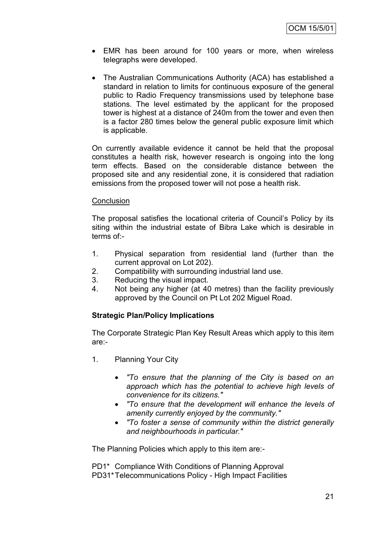- EMR has been around for 100 years or more, when wireless telegraphs were developed.
- The Australian Communications Authority (ACA) has established a standard in relation to limits for continuous exposure of the general public to Radio Frequency transmissions used by telephone base stations. The level estimated by the applicant for the proposed tower is highest at a distance of 240m from the tower and even then is a factor 280 times below the general public exposure limit which is applicable.

On currently available evidence it cannot be held that the proposal constitutes a health risk, however research is ongoing into the long term effects. Based on the considerable distance between the proposed site and any residential zone, it is considered that radiation emissions from the proposed tower will not pose a health risk.

#### **Conclusion**

The proposal satisfies the locational criteria of Council"s Policy by its siting within the industrial estate of Bibra Lake which is desirable in terms of:-

- 1. Physical separation from residential land (further than the current approval on Lot 202).
- 2. Compatibility with surrounding industrial land use.
- 3. Reducing the visual impact.
- 4. Not being any higher (at 40 metres) than the facility previously approved by the Council on Pt Lot 202 Miguel Road.

# **Strategic Plan/Policy Implications**

The Corporate Strategic Plan Key Result Areas which apply to this item are:-

- 1. Planning Your City
	- *"To ensure that the planning of the City is based on an approach which has the potential to achieve high levels of convenience for its citizens."*
	- *"To ensure that the development will enhance the levels of amenity currently enjoyed by the community."*
	- *"To foster a sense of community within the district generally and neighbourhoods in particular."*

The Planning Policies which apply to this item are:-

PD1\* Compliance With Conditions of Planning Approval PD31\*Telecommunications Policy - High Impact Facilities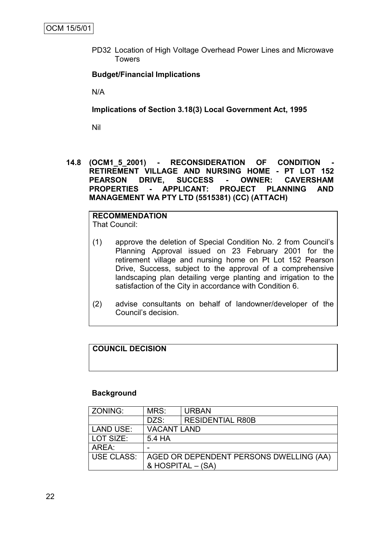PD32 Location of High Voltage Overhead Power Lines and Microwave Towers

## **Budget/Financial Implications**

N/A

#### **Implications of Section 3.18(3) Local Government Act, 1995**

Nil

14.8 (OCM1 5 2001) - RECONSIDERATION OF CONDITION **RETIREMENT VILLAGE AND NURSING HOME - PT LOT 152 PEARSON DRIVE, SUCCESS - OWNER: CAVERSHAM PROPERTIES - APPLICANT: PROJECT PLANNING AND MANAGEMENT WA PTY LTD (5515381) (CC) (ATTACH)**

#### **RECOMMENDATION** That Council:

- (1) approve the deletion of Special Condition No. 2 from Council"s Planning Approval issued on 23 February 2001 for the retirement village and nursing home on Pt Lot 152 Pearson Drive, Success, subject to the approval of a comprehensive landscaping plan detailing verge planting and irrigation to the satisfaction of the City in accordance with Condition 6.
- (2) advise consultants on behalf of landowner/developer of the Council"s decision.

# **COUNCIL DECISION**

#### **Background**

| ZONING:           | MRS:                                    | <b>URBAN</b>            |  |
|-------------------|-----------------------------------------|-------------------------|--|
|                   | DZS:                                    | <b>RESIDENTIAL R80B</b> |  |
| <b>LAND USE:</b>  | <b>VACANT LAND</b>                      |                         |  |
| LOT SIZE:         | 5.4 HA                                  |                         |  |
| AREA:             |                                         |                         |  |
| <b>USE CLASS:</b> | AGED OR DEPENDENT PERSONS DWELLING (AA) |                         |  |
|                   |                                         | & HOSPITAL - (SA)       |  |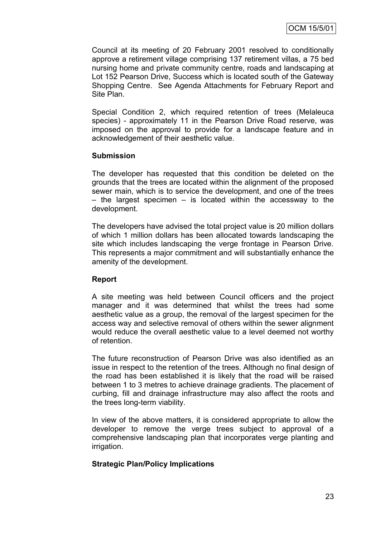Council at its meeting of 20 February 2001 resolved to conditionally approve a retirement village comprising 137 retirement villas, a 75 bed nursing home and private community centre, roads and landscaping at Lot 152 Pearson Drive, Success which is located south of the Gateway Shopping Centre. See Agenda Attachments for February Report and Site Plan.

Special Condition 2, which required retention of trees (Melaleuca species) - approximately 11 in the Pearson Drive Road reserve, was imposed on the approval to provide for a landscape feature and in acknowledgement of their aesthetic value.

# **Submission**

The developer has requested that this condition be deleted on the grounds that the trees are located within the alignment of the proposed sewer main, which is to service the development, and one of the trees  $-$  the largest specimen  $-$  is located within the accessway to the development.

The developers have advised the total project value is 20 million dollars of which 1 million dollars has been allocated towards landscaping the site which includes landscaping the verge frontage in Pearson Drive. This represents a major commitment and will substantially enhance the amenity of the development.

## **Report**

A site meeting was held between Council officers and the project manager and it was determined that whilst the trees had some aesthetic value as a group, the removal of the largest specimen for the access way and selective removal of others within the sewer alignment would reduce the overall aesthetic value to a level deemed not worthy of retention.

The future reconstruction of Pearson Drive was also identified as an issue in respect to the retention of the trees. Although no final design of the road has been established it is likely that the road will be raised between 1 to 3 metres to achieve drainage gradients. The placement of curbing, fill and drainage infrastructure may also affect the roots and the trees long-term viability.

In view of the above matters, it is considered appropriate to allow the developer to remove the verge trees subject to approval of a comprehensive landscaping plan that incorporates verge planting and irrigation.

# **Strategic Plan/Policy Implications**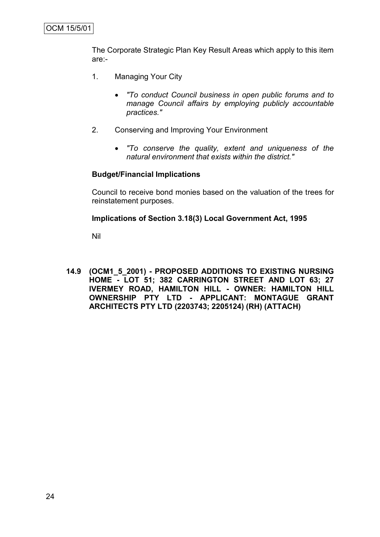The Corporate Strategic Plan Key Result Areas which apply to this item are:-

- 1. Managing Your City
	- *"To conduct Council business in open public forums and to manage Council affairs by employing publicly accountable practices."*
- 2. Conserving and Improving Your Environment
	- *"To conserve the quality, extent and uniqueness of the natural environment that exists within the district."*

## **Budget/Financial Implications**

Council to receive bond monies based on the valuation of the trees for reinstatement purposes.

## **Implications of Section 3.18(3) Local Government Act, 1995**

Nil

**14.9 (OCM1\_5\_2001) - PROPOSED ADDITIONS TO EXISTING NURSING HOME - LOT 51; 382 CARRINGTON STREET AND LOT 63; 27 IVERMEY ROAD, HAMILTON HILL - OWNER: HAMILTON HILL OWNERSHIP PTY LTD - APPLICANT: MONTAGUE GRANT ARCHITECTS PTY LTD (2203743; 2205124) (RH) (ATTACH)**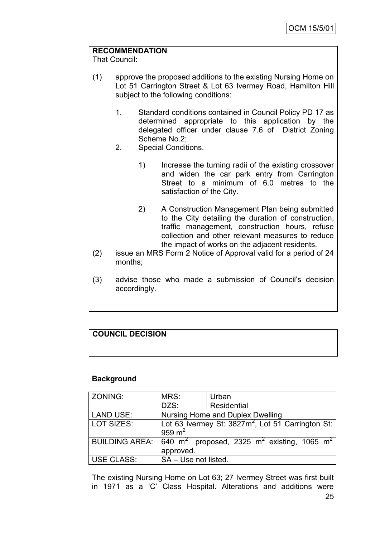# **RECOMMENDATION**

That Council:

- (1) approve the proposed additions to the existing Nursing Home on Lot 51 Carrington Street & Lot 63 Ivermey Road, Hamilton Hill subject to the following conditions:
	- 1. Standard conditions contained in Council Policy PD 17 as determined appropriate to this application by the delegated officer under clause 7.6 of District Zoning Scheme No.2;
	- 2. Special Conditions.
		- 1) Increase the turning radii of the existing crossover and widen the car park entry from Carrington Street to a minimum of 6.0 metres to the satisfaction of the City.
		- 2) A Construction Management Plan being submitted to the City detailing the duration of construction, traffic management, construction hours, refuse collection and other relevant measures to reduce the impact of works on the adjacent residents.
- (2) issue an MRS Form 2 Notice of Approval valid for a period of 24 months;
- (3) advise those who made a submission of Council"s decision accordingly.

# **COUNCIL DECISION**

## **Background**

| ZONING:               | MRS:                             | Urban                                                                          |  |
|-----------------------|----------------------------------|--------------------------------------------------------------------------------|--|
|                       | DZS:                             | Residential                                                                    |  |
| <b>LAND USE:</b>      | Nursing Home and Duplex Dwelling |                                                                                |  |
| LOT SIZES:            | 959 $m2$                         | Lot 63 Ivermey St: 3827m <sup>2</sup> , Lot 51 Carrington St:                  |  |
| <b>BUILDING AREA:</b> | approved.                        | 640 m <sup>2</sup> proposed, 2325 m <sup>2</sup> existing, 1065 m <sup>2</sup> |  |
| <b>USE CLASS:</b>     | SA - Use not listed.             |                                                                                |  |

The existing Nursing Home on Lot 63; 27 Ivermey Street was first built in 1971 as a "C" Class Hospital. Alterations and additions were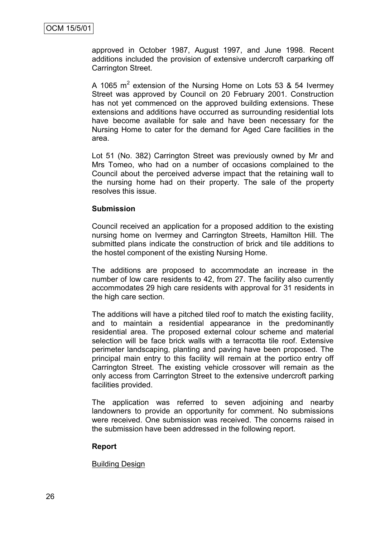approved in October 1987, August 1997, and June 1998. Recent additions included the provision of extensive undercroft carparking off Carrington Street.

A 1065  $m^2$  extension of the Nursing Home on Lots 53 & 54 Ivermey Street was approved by Council on 20 February 2001. Construction has not yet commenced on the approved building extensions. These extensions and additions have occurred as surrounding residential lots have become available for sale and have been necessary for the Nursing Home to cater for the demand for Aged Care facilities in the area.

Lot 51 (No. 382) Carrington Street was previously owned by Mr and Mrs Tomeo, who had on a number of occasions complained to the Council about the perceived adverse impact that the retaining wall to the nursing home had on their property. The sale of the property resolves this issue.

#### **Submission**

Council received an application for a proposed addition to the existing nursing home on Ivermey and Carrington Streets, Hamilton Hill. The submitted plans indicate the construction of brick and tile additions to the hostel component of the existing Nursing Home.

The additions are proposed to accommodate an increase in the number of low care residents to 42, from 27. The facility also currently accommodates 29 high care residents with approval for 31 residents in the high care section.

The additions will have a pitched tiled roof to match the existing facility, and to maintain a residential appearance in the predominantly residential area. The proposed external colour scheme and material selection will be face brick walls with a terracotta tile roof. Extensive perimeter landscaping, planting and paving have been proposed. The principal main entry to this facility will remain at the portico entry off Carrington Street. The existing vehicle crossover will remain as the only access from Carrington Street to the extensive undercroft parking facilities provided.

The application was referred to seven adjoining and nearby landowners to provide an opportunity for comment. No submissions were received. One submission was received. The concerns raised in the submission have been addressed in the following report.

## **Report**

#### Building Design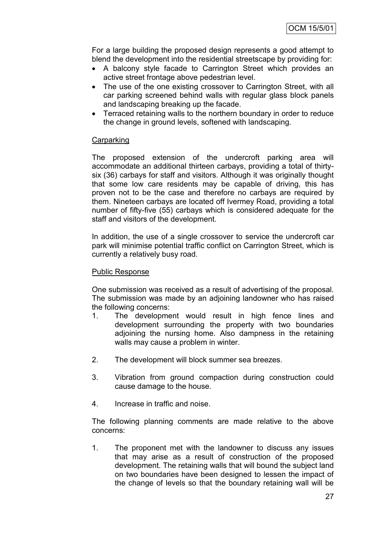For a large building the proposed design represents a good attempt to blend the development into the residential streetscape by providing for:

- A balcony style facade to Carrington Street which provides an active street frontage above pedestrian level.
- The use of the one existing crossover to Carrington Street, with all car parking screened behind walls with regular glass block panels and landscaping breaking up the facade.
- Terraced retaining walls to the northern boundary in order to reduce the change in ground levels, softened with landscaping.

## **Carparking**

The proposed extension of the undercroft parking area will accommodate an additional thirteen carbays, providing a total of thirtysix (36) carbays for staff and visitors. Although it was originally thought that some low care residents may be capable of driving, this has proven not to be the case and therefore no carbays are required by them. Nineteen carbays are located off Ivermey Road, providing a total number of fifty-five (55) carbays which is considered adequate for the staff and visitors of the development.

In addition, the use of a single crossover to service the undercroft car park will minimise potential traffic conflict on Carrington Street, which is currently a relatively busy road.

#### Public Response

One submission was received as a result of advertising of the proposal. The submission was made by an adjoining landowner who has raised the following concerns:

- 1. The development would result in high fence lines and development surrounding the property with two boundaries adjoining the nursing home. Also dampness in the retaining walls may cause a problem in winter.
- 2. The development will block summer sea breezes.
- 3. Vibration from ground compaction during construction could cause damage to the house.
- 4. Increase in traffic and noise.

The following planning comments are made relative to the above concerns:

1. The proponent met with the landowner to discuss any issues that may arise as a result of construction of the proposed development. The retaining walls that will bound the subject land on two boundaries have been designed to lessen the impact of the change of levels so that the boundary retaining wall will be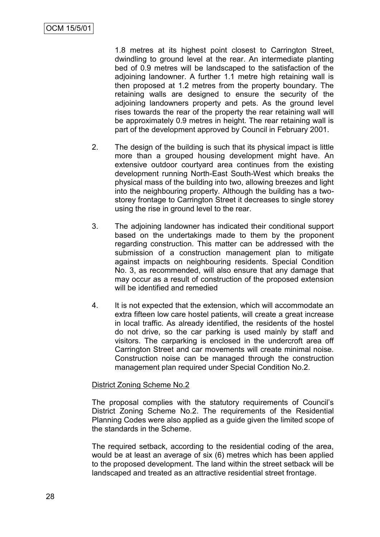1.8 metres at its highest point closest to Carrington Street, dwindling to ground level at the rear. An intermediate planting bed of 0.9 metres will be landscaped to the satisfaction of the adjoining landowner. A further 1.1 metre high retaining wall is then proposed at 1.2 metres from the property boundary. The retaining walls are designed to ensure the security of the adjoining landowners property and pets. As the ground level rises towards the rear of the property the rear retaining wall will be approximately 0.9 metres in height. The rear retaining wall is part of the development approved by Council in February 2001.

- 2. The design of the building is such that its physical impact is little more than a grouped housing development might have. An extensive outdoor courtyard area continues from the existing development running North-East South-West which breaks the physical mass of the building into two, allowing breezes and light into the neighbouring property. Although the building has a twostorey frontage to Carrington Street it decreases to single storey using the rise in ground level to the rear.
- 3. The adjoining landowner has indicated their conditional support based on the undertakings made to them by the proponent regarding construction. This matter can be addressed with the submission of a construction management plan to mitigate against impacts on neighbouring residents. Special Condition No. 3, as recommended, will also ensure that any damage that may occur as a result of construction of the proposed extension will be identified and remedied
- 4. It is not expected that the extension, which will accommodate an extra fifteen low care hostel patients, will create a great increase in local traffic. As already identified, the residents of the hostel do not drive, so the car parking is used mainly by staff and visitors. The carparking is enclosed in the undercroft area off Carrington Street and car movements will create minimal noise. Construction noise can be managed through the construction management plan required under Special Condition No.2.

## District Zoning Scheme No.2

The proposal complies with the statutory requirements of Council"s District Zoning Scheme No.2. The requirements of the Residential Planning Codes were also applied as a guide given the limited scope of the standards in the Scheme.

The required setback, according to the residential coding of the area, would be at least an average of six (6) metres which has been applied to the proposed development. The land within the street setback will be landscaped and treated as an attractive residential street frontage.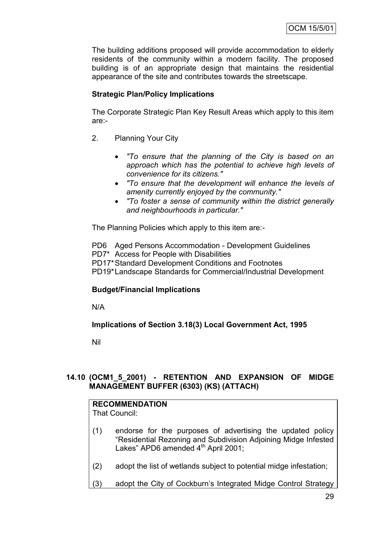The building additions proposed will provide accommodation to elderly residents of the community within a modern facility. The proposed building is of an appropriate design that maintains the residential appearance of the site and contributes towards the streetscape.

# **Strategic Plan/Policy Implications**

The Corporate Strategic Plan Key Result Areas which apply to this item are:-

- 2. Planning Your City
	- *"To ensure that the planning of the City is based on an approach which has the potential to achieve high levels of convenience for its citizens."*
	- *"To ensure that the development will enhance the levels of amenity currently enjoyed by the community."*
	- *"To foster a sense of community within the district generally and neighbourhoods in particular."*

The Planning Policies which apply to this item are:-

PD6 Aged Persons Accommodation - Development Guidelines PD7\* Access for People with Disabilities PD17\*Standard Development Conditions and Footnotes PD19\*Landscape Standards for Commercial/Industrial Development

# **Budget/Financial Implications**

N/A

# **Implications of Section 3.18(3) Local Government Act, 1995**

Nil

# **14.10 (OCM1\_5\_2001) - RETENTION AND EXPANSION OF MIDGE MANAGEMENT BUFFER (6303) (KS) (ATTACH)**

# **RECOMMENDATION**

That Council:

- (1) endorse for the purposes of advertising the updated policy "Residential Rezoning and Subdivision Adjoining Midge Infested Lakes" APD6 amended  $4<sup>th</sup>$  April 2001;
- (2) adopt the list of wetlands subject to potential midge infestation;
- (3) adopt the City of Cockburn"s Integrated Midge Control Strategy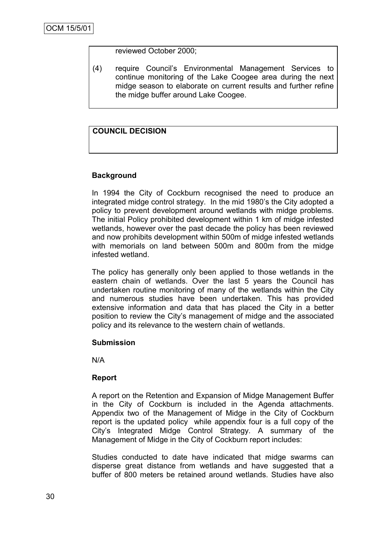reviewed October 2000;

(4) require Council"s Environmental Management Services to continue monitoring of the Lake Coogee area during the next midge season to elaborate on current results and further refine the midge buffer around Lake Coogee.

# **COUNCIL DECISION**

# **Background**

In 1994 the City of Cockburn recognised the need to produce an integrated midge control strategy. In the mid 1980"s the City adopted a policy to prevent development around wetlands with midge problems. The initial Policy prohibited development within 1 km of midge infested wetlands, however over the past decade the policy has been reviewed and now prohibits development within 500m of midge infested wetlands with memorials on land between 500m and 800m from the midge infested wetland.

The policy has generally only been applied to those wetlands in the eastern chain of wetlands. Over the last 5 years the Council has undertaken routine monitoring of many of the wetlands within the City and numerous studies have been undertaken. This has provided extensive information and data that has placed the City in a better position to review the City"s management of midge and the associated policy and its relevance to the western chain of wetlands.

## **Submission**

N/A

## **Report**

A report on the Retention and Expansion of Midge Management Buffer in the City of Cockburn is included in the Agenda attachments. Appendix two of the Management of Midge in the City of Cockburn report is the updated policy while appendix four is a full copy of the City"s Integrated Midge Control Strategy. A summary of the Management of Midge in the City of Cockburn report includes:

Studies conducted to date have indicated that midge swarms can disperse great distance from wetlands and have suggested that a buffer of 800 meters be retained around wetlands. Studies have also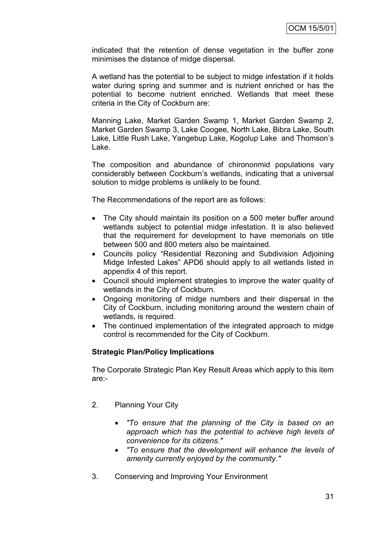indicated that the retention of dense vegetation in the buffer zone minimises the distance of midge dispersal.

A wetland has the potential to be subject to midge infestation if it holds water during spring and summer and is nutrient enriched or has the potential to become nutrient enriched. Wetlands that meet these criteria in the City of Cockburn are:

Manning Lake, Market Garden Swamp 1, Market Garden Swamp 2, Market Garden Swamp 3, Lake Coogee, North Lake, Bibra Lake, South Lake, Little Rush Lake, Yangebup Lake, Kogolup Lake and Thomson"s Lake.

The composition and abundance of chirononmid populations vary considerably between Cockburn"s wetlands, indicating that a universal solution to midge problems is unlikely to be found.

The Recommendations of the report are as follows:

- The City should maintain its position on a 500 meter buffer around wetlands subject to potential midge infestation. It is also believed that the requirement for development to have memorials on title between 500 and 800 meters also be maintained.
- Councils policy "Residential Rezoning and Subdivision Adjoining Midge Infested Lakes" APD6 should apply to all wetlands listed in appendix 4 of this report.
- Council should implement strategies to improve the water quality of wetlands in the City of Cockburn.
- Ongoing monitoring of midge numbers and their dispersal in the City of Cockburn, including monitoring around the western chain of wetlands, is required.
- The continued implementation of the integrated approach to midge control is recommended for the City of Cockburn.

## **Strategic Plan/Policy Implications**

The Corporate Strategic Plan Key Result Areas which apply to this item are:-

- 2. Planning Your City
	- *"To ensure that the planning of the City is based on an approach which has the potential to achieve high levels of convenience for its citizens."*
	- *"To ensure that the development will enhance the levels of amenity currently enjoyed by the community."*
- 3. Conserving and Improving Your Environment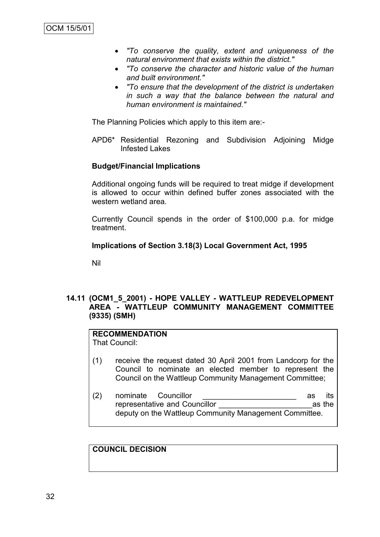- *"To conserve the quality, extent and uniqueness of the natural environment that exists within the district."*
- *"To conserve the character and historic value of the human and built environment."*
- *"To ensure that the development of the district is undertaken in such a way that the balance between the natural and human environment is maintained."*

The Planning Policies which apply to this item are:-

APD6\* Residential Rezoning and Subdivision Adjoining Midge Infested Lakes

## **Budget/Financial Implications**

Additional ongoing funds will be required to treat midge if development is allowed to occur within defined buffer zones associated with the western wetland area.

Currently Council spends in the order of \$100,000 p.a. for midge treatment.

## **Implications of Section 3.18(3) Local Government Act, 1995**

Nil

## **14.11 (OCM1\_5\_2001) - HOPE VALLEY - WATTLEUP REDEVELOPMENT AREA - WATTLEUP COMMUNITY MANAGEMENT COMMITTEE (9335) (SMH)**

# **RECOMMENDATION**

That Council:

- (1) receive the request dated 30 April 2001 from Landcorp for the Council to nominate an elected member to represent the Council on the Wattleup Community Management Committee;
- (2) nominate Councillor as its representative and Councillor \_\_\_\_\_\_\_\_\_\_\_\_\_\_\_\_\_\_\_\_\_\_as the deputy on the Wattleup Community Management Committee.

#### **COUNCIL DECISION**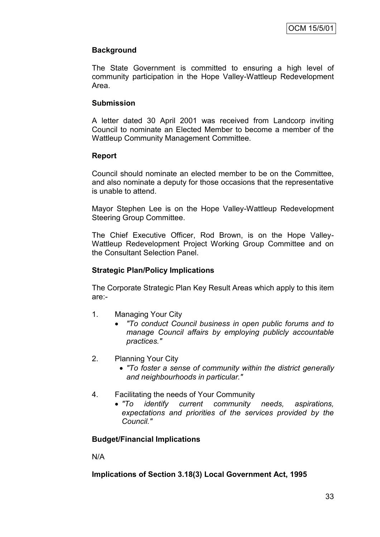## **Background**

The State Government is committed to ensuring a high level of community participation in the Hope Valley-Wattleup Redevelopment Area.

## **Submission**

A letter dated 30 April 2001 was received from Landcorp inviting Council to nominate an Elected Member to become a member of the Wattleup Community Management Committee.

## **Report**

Council should nominate an elected member to be on the Committee, and also nominate a deputy for those occasions that the representative is unable to attend.

Mayor Stephen Lee is on the Hope Valley-Wattleup Redevelopment Steering Group Committee.

The Chief Executive Officer, Rod Brown, is on the Hope Valley-Wattleup Redevelopment Project Working Group Committee and on the Consultant Selection Panel.

## **Strategic Plan/Policy Implications**

The Corporate Strategic Plan Key Result Areas which apply to this item are:-

- 1. Managing Your City
	- *"To conduct Council business in open public forums and to manage Council affairs by employing publicly accountable practices."*
- 2. Planning Your City
	- *"To foster a sense of community within the district generally and neighbourhoods in particular."*
- 4. Facilitating the needs of Your Community
	- *"To identify current community needs, aspirations, expectations and priorities of the services provided by the Council."*

## **Budget/Financial Implications**

N/A

## **Implications of Section 3.18(3) Local Government Act, 1995**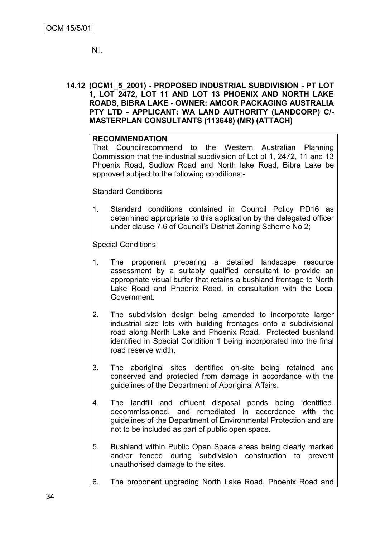Nil.

**14.12 (OCM1\_5\_2001) - PROPOSED INDUSTRIAL SUBDIVISION - PT LOT 1, LOT 2472, LOT 11 AND LOT 13 PHOENIX AND NORTH LAKE ROADS, BIBRA LAKE - OWNER: AMCOR PACKAGING AUSTRALIA PTY LTD - APPLICANT: WA LAND AUTHORITY (LANDCORP) C/- MASTERPLAN CONSULTANTS (113648) (MR) (ATTACH)**

## **RECOMMENDATION**

That Councilrecommend to the Western Australian Planning Commission that the industrial subdivision of Lot pt 1, 2472, 11 and 13 Phoenix Road, Sudlow Road and North lake Road, Bibra Lake be approved subject to the following conditions:-

Standard Conditions

1. Standard conditions contained in Council Policy PD16 as determined appropriate to this application by the delegated officer under clause 7.6 of Council"s District Zoning Scheme No 2;

Special Conditions

- 1. The proponent preparing a detailed landscape resource assessment by a suitably qualified consultant to provide an appropriate visual buffer that retains a bushland frontage to North Lake Road and Phoenix Road, in consultation with the Local Government.
- 2. The subdivision design being amended to incorporate larger industrial size lots with building frontages onto a subdivisional road along North Lake and Phoenix Road. Protected bushland identified in Special Condition 1 being incorporated into the final road reserve width.
- 3. The aboriginal sites identified on-site being retained and conserved and protected from damage in accordance with the guidelines of the Department of Aboriginal Affairs.
- 4. The landfill and effluent disposal ponds being identified, decommissioned, and remediated in accordance with the guidelines of the Department of Environmental Protection and are not to be included as part of public open space.
- 5. Bushland within Public Open Space areas being clearly marked and/or fenced during subdivision construction to prevent unauthorised damage to the sites.
- 6. The proponent upgrading North Lake Road, Phoenix Road and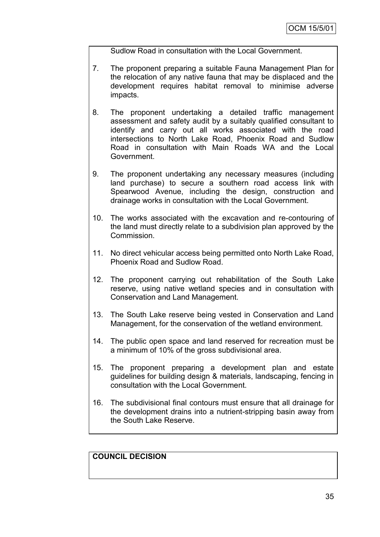Sudlow Road in consultation with the Local Government.

- 7. The proponent preparing a suitable Fauna Management Plan for the relocation of any native fauna that may be displaced and the development requires habitat removal to minimise adverse impacts.
- 8. The proponent undertaking a detailed traffic management assessment and safety audit by a suitably qualified consultant to identify and carry out all works associated with the road intersections to North Lake Road, Phoenix Road and Sudlow Road in consultation with Main Roads WA and the Local Government.
- 9. The proponent undertaking any necessary measures (including land purchase) to secure a southern road access link with Spearwood Avenue, including the design, construction and drainage works in consultation with the Local Government.
- 10. The works associated with the excavation and re-contouring of the land must directly relate to a subdivision plan approved by the Commission.
- 11. No direct vehicular access being permitted onto North Lake Road, Phoenix Road and Sudlow Road.
- 12. The proponent carrying out rehabilitation of the South Lake reserve, using native wetland species and in consultation with Conservation and Land Management.
- 13. The South Lake reserve being vested in Conservation and Land Management, for the conservation of the wetland environment.
- 14. The public open space and land reserved for recreation must be a minimum of 10% of the gross subdivisional area.
- 15. The proponent preparing a development plan and estate guidelines for building design & materials, landscaping, fencing in consultation with the Local Government.
- 16. The subdivisional final contours must ensure that all drainage for the development drains into a nutrient-stripping basin away from the South Lake Reserve.

**COUNCIL DECISION**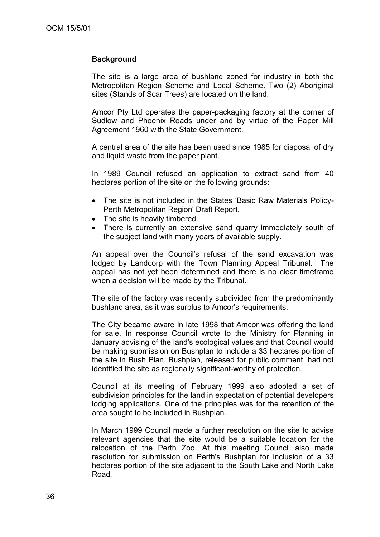### **Background**

The site is a large area of bushland zoned for industry in both the Metropolitan Region Scheme and Local Scheme. Two (2) Aboriginal sites (Stands of Scar Trees) are located on the land.

Amcor Pty Ltd operates the paper-packaging factory at the corner of Sudlow and Phoenix Roads under and by virtue of the Paper Mill Agreement 1960 with the State Government.

A central area of the site has been used since 1985 for disposal of dry and liquid waste from the paper plant.

In 1989 Council refused an application to extract sand from 40 hectares portion of the site on the following grounds:

- The site is not included in the States 'Basic Raw Materials Policy-Perth Metropolitan Region' Draft Report.
- The site is heavily timbered.
- There is currently an extensive sand quarry immediately south of the subject land with many years of available supply.

An appeal over the Council's refusal of the sand excavation was lodged by Landcorp with the Town Planning Appeal Tribunal. The appeal has not yet been determined and there is no clear timeframe when a decision will be made by the Tribunal.

The site of the factory was recently subdivided from the predominantly bushland area, as it was surplus to Amcor's requirements.

The City became aware in late 1998 that Amcor was offering the land for sale. In response Council wrote to the Ministry for Planning in January advising of the land's ecological values and that Council would be making submission on Bushplan to include a 33 hectares portion of the site in Bush Plan. Bushplan, released for public comment, had not identified the site as regionally significant-worthy of protection.

Council at its meeting of February 1999 also adopted a set of subdivision principles for the land in expectation of potential developers lodging applications. One of the principles was for the retention of the area sought to be included in Bushplan.

In March 1999 Council made a further resolution on the site to advise relevant agencies that the site would be a suitable location for the relocation of the Perth Zoo. At this meeting Council also made resolution for submission on Perth's Bushplan for inclusion of a 33 hectares portion of the site adjacent to the South Lake and North Lake Road*.*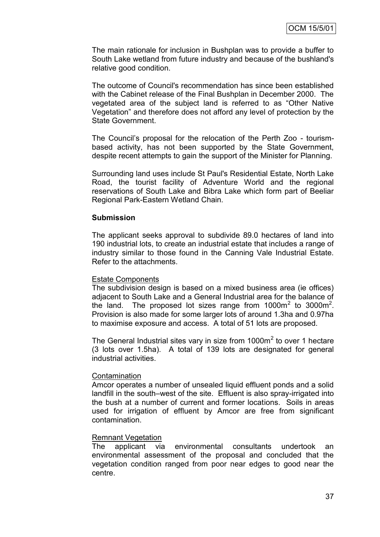The main rationale for inclusion in Bushplan was to provide a buffer to South Lake wetland from future industry and because of the bushland's relative good condition.

The outcome of Council's recommendation has since been established with the Cabinet release of the Final Bushplan in December 2000. The vegetated area of the subject land is referred to as "Other Native Vegetation" and therefore does not afford any level of protection by the State Government.

The Council"s proposal for the relocation of the Perth Zoo - tourismbased activity, has not been supported by the State Government, despite recent attempts to gain the support of the Minister for Planning.

Surrounding land uses include St Paul's Residential Estate, North Lake Road, the tourist facility of Adventure World and the regional reservations of South Lake and Bibra Lake which form part of Beeliar Regional Park-Eastern Wetland Chain*.*

#### **Submission**

The applicant seeks approval to subdivide 89.0 hectares of land into 190 industrial lots, to create an industrial estate that includes a range of industry similar to those found in the Canning Vale Industrial Estate. Refer to the attachments.

## Estate Components

The subdivision design is based on a mixed business area (ie offices) adjacent to South Lake and a General Industrial area for the balance of the land. The proposed lot sizes range from  $1000m^2$  to  $3000m^2$ . Provision is also made for some larger lots of around 1.3ha and 0.97ha to maximise exposure and access. A total of 51 lots are proposed.

The General Industrial sites vary in size from  $1000m^2$  to over 1 hectare (3 lots over 1.5ha). A total of 139 lots are designated for general industrial activities.

#### **Contamination**

Amcor operates a number of unsealed liquid effluent ponds and a solid landfill in the south–west of the site. Effluent is also spray-irrigated into the bush at a number of current and former locations. Soils in areas used for irrigation of effluent by Amcor are free from significant contamination.

## Remnant Vegetation

The applicant via environmental consultants undertook an environmental assessment of the proposal and concluded that the vegetation condition ranged from poor near edges to good near the centre.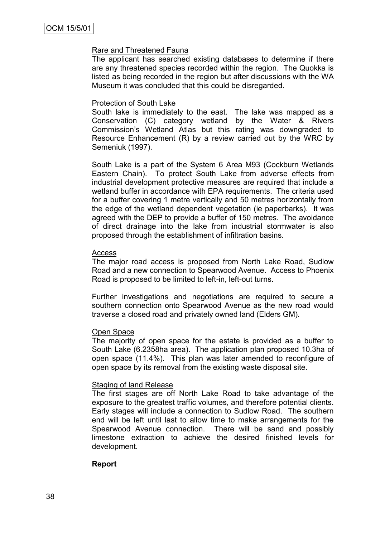### Rare and Threatened Fauna

The applicant has searched existing databases to determine if there are any threatened species recorded within the region. The Quokka is listed as being recorded in the region but after discussions with the WA Museum it was concluded that this could be disregarded.

#### Protection of South Lake

South lake is immediately to the east. The lake was mapped as a Conservation (C) category wetland by the Water & Rivers Commission"s Wetland Atlas but this rating was downgraded to Resource Enhancement (R) by a review carried out by the WRC by Semeniuk (1997).

South Lake is a part of the System 6 Area M93 (Cockburn Wetlands Eastern Chain). To protect South Lake from adverse effects from industrial development protective measures are required that include a wetland buffer in accordance with EPA requirements. The criteria used for a buffer covering 1 metre vertically and 50 metres horizontally from the edge of the wetland dependent vegetation (ie paperbarks). It was agreed with the DEP to provide a buffer of 150 metres. The avoidance of direct drainage into the lake from industrial stormwater is also proposed through the establishment of infiltration basins.

#### Access

The major road access is proposed from North Lake Road, Sudlow Road and a new connection to Spearwood Avenue. Access to Phoenix Road is proposed to be limited to left-in, left-out turns.

Further investigations and negotiations are required to secure a southern connection onto Spearwood Avenue as the new road would traverse a closed road and privately owned land (Elders GM).

#### Open Space

The majority of open space for the estate is provided as a buffer to South Lake (6.2358ha area). The application plan proposed 10.3ha of open space (11.4%). This plan was later amended to reconfigure of open space by its removal from the existing waste disposal site.

#### Staging of land Release

The first stages are off North Lake Road to take advantage of the exposure to the greatest traffic volumes, and therefore potential clients. Early stages will include a connection to Sudlow Road. The southern end will be left until last to allow time to make arrangements for the Spearwood Avenue connection. There will be sand and possibly limestone extraction to achieve the desired finished levels for development.

## **Report**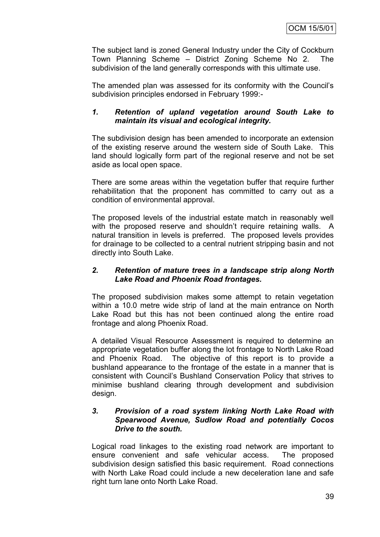The subject land is zoned General Industry under the City of Cockburn Town Planning Scheme – District Zoning Scheme No 2. subdivision of the land generally corresponds with this ultimate use.

The amended plan was assessed for its conformity with the Council"s subdivision principles endorsed in February 1999:-

## *1. Retention of upland vegetation around South Lake to maintain its visual and ecological integrity.*

The subdivision design has been amended to incorporate an extension of the existing reserve around the western side of South Lake. This land should logically form part of the regional reserve and not be set aside as local open space.

There are some areas within the vegetation buffer that require further rehabilitation that the proponent has committed to carry out as a condition of environmental approval.

The proposed levels of the industrial estate match in reasonably well with the proposed reserve and shouldn't require retaining walls. A natural transition in levels is preferred. The proposed levels provides for drainage to be collected to a central nutrient stripping basin and not directly into South Lake.

## *2. Retention of mature trees in a landscape strip along North Lake Road and Phoenix Road frontages.*

The proposed subdivision makes some attempt to retain vegetation within a 10.0 metre wide strip of land at the main entrance on North Lake Road but this has not been continued along the entire road frontage and along Phoenix Road.

A detailed Visual Resource Assessment is required to determine an appropriate vegetation buffer along the lot frontage to North Lake Road and Phoenix Road. The objective of this report is to provide a bushland appearance to the frontage of the estate in a manner that is consistent with Council"s Bushland Conservation Policy that strives to minimise bushland clearing through development and subdivision design.

## *3. Provision of a road system linking North Lake Road with Spearwood Avenue, Sudlow Road and potentially Cocos Drive to the south.*

Logical road linkages to the existing road network are important to ensure convenient and safe vehicular access. The proposed subdivision design satisfied this basic requirement. Road connections with North Lake Road could include a new deceleration lane and safe right turn lane onto North Lake Road.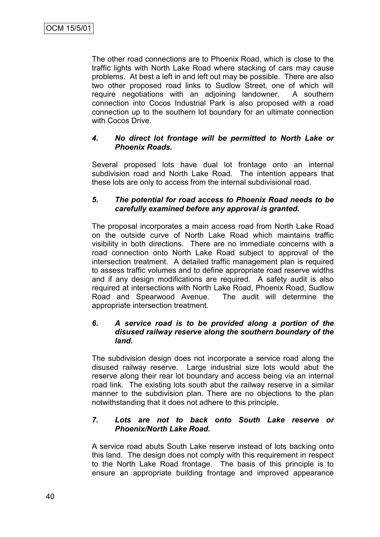The other road connections are to Phoenix Road, which is close to the traffic lights with North Lake Road where stacking of cars may cause problems. At best a left in and left out may be possible. There are also two other proposed road links to Sudlow Street, one of which will require negotiations with an adjoining landowner. A southern connection into Cocos Industrial Park is also proposed with a road connection up to the southern lot boundary for an ultimate connection with Cocos Drive.

## *4. No direct lot frontage will be permitted to North Lake or Phoenix Roads.*

Several proposed lots have dual lot frontage onto an internal subdivision road and North Lake Road. The intention appears that these lots are only to access from the internal subdivisional road.

## *5. The potential for road access to Phoenix Road needs to be carefully examined before any approval is granted.*

The proposal incorporates a main access road from North Lake Road on the outside curve of North Lake Road which maintains traffic visibility in both directions. There are no immediate concerns with a road connection onto North Lake Road subject to approval of the intersection treatment. A detailed traffic management plan is required to assess traffic volumes and to define appropriate road reserve widths and if any design modifications are required. A safety audit is also required at intersections with North Lake Road, Phoenix Road, Sudlow Road and Spearwood Avenue. The audit will determine the appropriate intersection treatment.

## *6. A service road is to be provided along a portion of the disused railway reserve along the southern boundary of the land.*

The subdivision design does not incorporate a service road along the disused railway reserve. Large industrial size lots would abut the reserve along their rear lot boundary and access being via an internal road link. The existing lots south abut the railway reserve in a similar manner to the subdivision plan. There are no objections to the plan notwithstanding that it does not adhere to this principle.

## *7. Lots are not to back onto South Lake reserve or Phoenix/North Lake Road.*

A service road abuts South Lake reserve instead of lots backing onto this land. The design does not comply with this requirement in respect to the North Lake Road frontage. The basis of this principle is to ensure an appropriate building frontage and improved appearance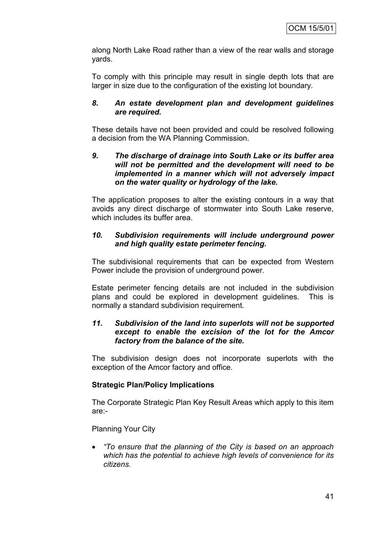along North Lake Road rather than a view of the rear walls and storage yards.

To comply with this principle may result in single depth lots that are larger in size due to the configuration of the existing lot boundary.

## *8. An estate development plan and development guidelines are required.*

These details have not been provided and could be resolved following a decision from the WA Planning Commission.

## *9. The discharge of drainage into South Lake or its buffer area will not be permitted and the development will need to be implemented in a manner which will not adversely impact on the water quality or hydrology of the lake.*

The application proposes to alter the existing contours in a way that avoids any direct discharge of stormwater into South Lake reserve, which includes its buffer area.

## *10. Subdivision requirements will include underground power and high quality estate perimeter fencing.*

The subdivisional requirements that can be expected from Western Power include the provision of underground power.

Estate perimeter fencing details are not included in the subdivision plans and could be explored in development guidelines. This is normally a standard subdivision requirement.

## *11. Subdivision of the land into superlots will not be supported except to enable the excision of the lot for the Amcor factory from the balance of the site.*

The subdivision design does not incorporate superlots with the exception of the Amcor factory and office.

## **Strategic Plan/Policy Implications**

The Corporate Strategic Plan Key Result Areas which apply to this item are:-

Planning Your City

 *"To ensure that the planning of the City is based on an approach which has the potential to achieve high levels of convenience for its citizens.*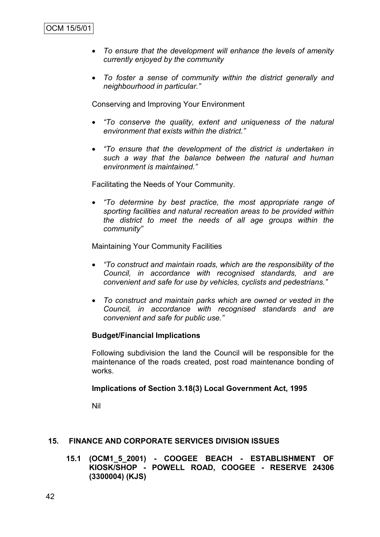- *To ensure that the development will enhance the levels of amenity currently enjoyed by the community*
- *To foster a sense of community within the district generally and neighbourhood in particular."*

Conserving and Improving Your Environment

- *"To conserve the quality, extent and uniqueness of the natural environment that exists within the district."*
- *"To ensure that the development of the district is undertaken in such a way that the balance between the natural and human environment is maintained."*

Facilitating the Needs of Your Community.

 *"To determine by best practice, the most appropriate range of sporting facilities and natural recreation areas to be provided within the district to meet the needs of all age groups within the community"*

Maintaining Your Community Facilities

- *"To construct and maintain roads, which are the responsibility of the Council, in accordance with recognised standards, and are convenient and safe for use by vehicles, cyclists and pedestrians."*
- *To construct and maintain parks which are owned or vested in the Council, in accordance with recognised standards and are convenient and safe for public use."*

## **Budget/Financial Implications**

Following subdivision the land the Council will be responsible for the maintenance of the roads created, post road maintenance bonding of works.

#### **Implications of Section 3.18(3) Local Government Act, 1995**

Nil

## **15. FINANCE AND CORPORATE SERVICES DIVISION ISSUES**

**15.1 (OCM1\_5\_2001) - COOGEE BEACH - ESTABLISHMENT OF KIOSK/SHOP - POWELL ROAD, COOGEE - RESERVE 24306 (3300004) (KJS)**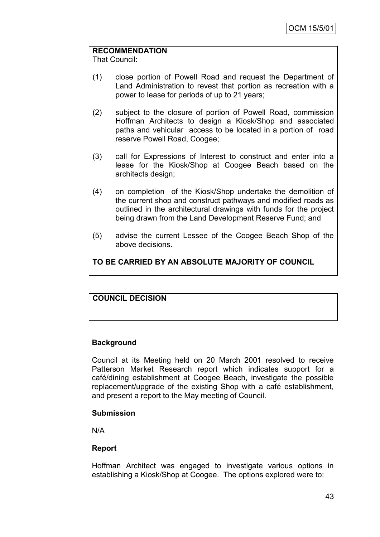## **RECOMMENDATION**

That Council:

- (1) close portion of Powell Road and request the Department of Land Administration to revest that portion as recreation with a power to lease for periods of up to 21 years;
- (2) subject to the closure of portion of Powell Road, commission Hoffman Architects to design a Kiosk/Shop and associated paths and vehicular access to be located in a portion of road reserve Powell Road, Coogee;
- (3) call for Expressions of Interest to construct and enter into a lease for the Kiosk/Shop at Coogee Beach based on the architects design;
- (4) on completion of the Kiosk/Shop undertake the demolition of the current shop and construct pathways and modified roads as outlined in the architectural drawings with funds for the project being drawn from the Land Development Reserve Fund; and
- (5) advise the current Lessee of the Coogee Beach Shop of the above decisions.

**TO BE CARRIED BY AN ABSOLUTE MAJORITY OF COUNCIL**

## **COUNCIL DECISION**

## **Background**

Council at its Meeting held on 20 March 2001 resolved to receive Patterson Market Research report which indicates support for a café/dining establishment at Coogee Beach, investigate the possible replacement/upgrade of the existing Shop with a café establishment, and present a report to the May meeting of Council.

## **Submission**

N/A

## **Report**

Hoffman Architect was engaged to investigate various options in establishing a Kiosk/Shop at Coogee. The options explored were to: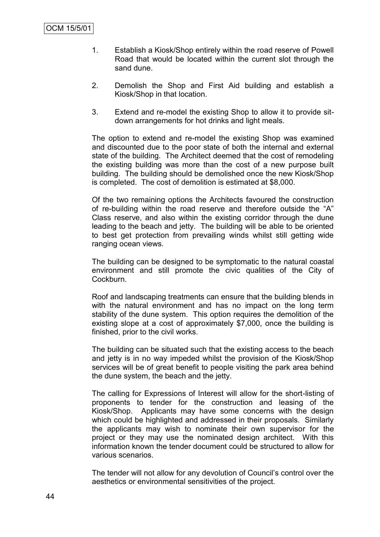- 1. Establish a Kiosk/Shop entirely within the road reserve of Powell Road that would be located within the current slot through the sand dune.
- 2. Demolish the Shop and First Aid building and establish a Kiosk/Shop in that location.
- 3. Extend and re-model the existing Shop to allow it to provide sitdown arrangements for hot drinks and light meals.

The option to extend and re-model the existing Shop was examined and discounted due to the poor state of both the internal and external state of the building. The Architect deemed that the cost of remodeling the existing building was more than the cost of a new purpose built building. The building should be demolished once the new Kiosk/Shop is completed. The cost of demolition is estimated at \$8,000.

Of the two remaining options the Architects favoured the construction of re-building within the road reserve and therefore outside the "A" Class reserve, and also within the existing corridor through the dune leading to the beach and jetty. The building will be able to be oriented to best get protection from prevailing winds whilst still getting wide ranging ocean views.

The building can be designed to be symptomatic to the natural coastal environment and still promote the civic qualities of the City of Cockburn.

Roof and landscaping treatments can ensure that the building blends in with the natural environment and has no impact on the long term stability of the dune system. This option requires the demolition of the existing slope at a cost of approximately \$7,000, once the building is finished, prior to the civil works.

The building can be situated such that the existing access to the beach and jetty is in no way impeded whilst the provision of the Kiosk/Shop services will be of great benefit to people visiting the park area behind the dune system, the beach and the jetty.

The calling for Expressions of Interest will allow for the short-listing of proponents to tender for the construction and leasing of the Kiosk/Shop. Applicants may have some concerns with the design which could be highlighted and addressed in their proposals. Similarly the applicants may wish to nominate their own supervisor for the project or they may use the nominated design architect. With this information known the tender document could be structured to allow for various scenarios.

The tender will not allow for any devolution of Council's control over the aesthetics or environmental sensitivities of the project.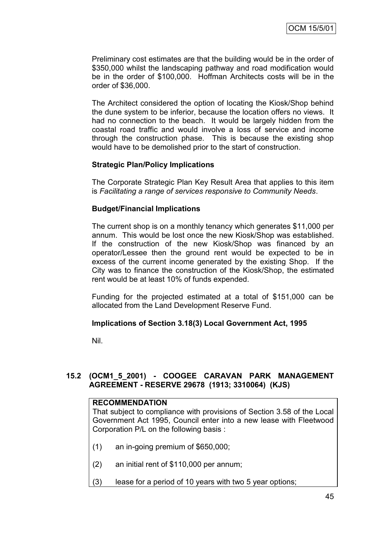Preliminary cost estimates are that the building would be in the order of \$350,000 whilst the landscaping pathway and road modification would be in the order of \$100,000. Hoffman Architects costs will be in the order of \$36,000.

The Architect considered the option of locating the Kiosk/Shop behind the dune system to be inferior, because the location offers no views. It had no connection to the beach. It would be largely hidden from the coastal road traffic and would involve a loss of service and income through the construction phase. This is because the existing shop would have to be demolished prior to the start of construction.

## **Strategic Plan/Policy Implications**

The Corporate Strategic Plan Key Result Area that applies to this item is *Facilitating a range of services responsive to Community Needs*.

## **Budget/Financial Implications**

The current shop is on a monthly tenancy which generates \$11,000 per annum. This would be lost once the new Kiosk/Shop was established. If the construction of the new Kiosk/Shop was financed by an operator/Lessee then the ground rent would be expected to be in excess of the current income generated by the existing Shop. If the City was to finance the construction of the Kiosk/Shop, the estimated rent would be at least 10% of funds expended.

Funding for the projected estimated at a total of \$151,000 can be allocated from the Land Development Reserve Fund.

## **Implications of Section 3.18(3) Local Government Act, 1995**

Nil.

## **15.2 (OCM1\_5\_2001) - COOGEE CARAVAN PARK MANAGEMENT AGREEMENT - RESERVE 29678 (1913; 3310064) (KJS)**

## **RECOMMENDATION**

That subject to compliance with provisions of Section 3.58 of the Local Government Act 1995, Council enter into a new lease with Fleetwood Corporation P/L on the following basis :

- (1) an in-going premium of \$650,000;
- (2) an initial rent of \$110,000 per annum;
- (3) lease for a period of 10 years with two 5 year options;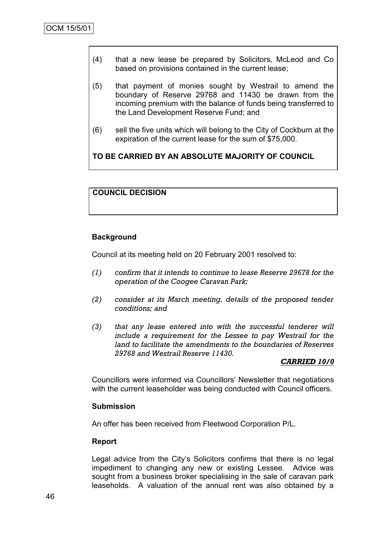- (4) that a new lease be prepared by Solicitors, McLeod and Co based on provisions contained in the current lease;
- (5) that payment of monies sought by Westrail to amend the boundary of Reserve 29768 and 11430 be drawn from the incoming premium with the balance of funds being transferred to the Land Development Reserve Fund; and
- (6) sell the five units which will belong to the City of Cockburn at the expiration of the current lease for the sum of \$75,000.

**TO BE CARRIED BY AN ABSOLUTE MAJORITY OF COUNCIL**

## **COUNCIL DECISION**

### **Background**

Council at its meeting held on 20 February 2001 resolved to:

- *(1) confirm that it intends to continue to lease Reserve 29678 for the operation of the Coogee Caravan Park;*
- *(2) consider at its March meeting, details of the proposed tender conditions; and*
- *(3) that any lease entered into with the successful tenderer will include a requirement for the Lessee to pay Westrail for the land to facilitate the amendments to the boundaries of Reserves 29768 and Westrail Reserve 11430.*

#### *CARRIED 10/0*

Councillors were informed via Councillors" Newsletter that negotiations with the current leaseholder was being conducted with Council officers.

#### **Submission**

An offer has been received from Fleetwood Corporation P/L.

#### **Report**

Legal advice from the City"s Solicitors confirms that there is no legal impediment to changing any new or existing Lessee. Advice was sought from a business broker specialising in the sale of caravan park leaseholds. A valuation of the annual rent was also obtained by a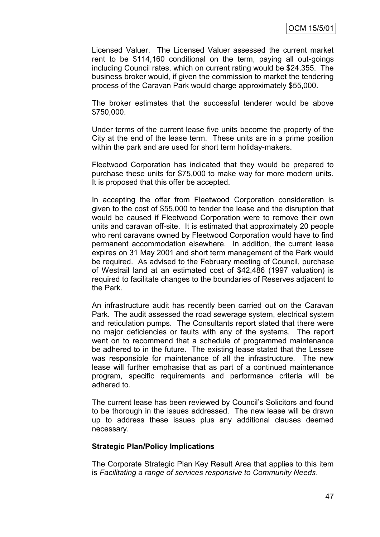Licensed Valuer. The Licensed Valuer assessed the current market rent to be \$114,160 conditional on the term, paying all out-goings including Council rates, which on current rating would be \$24,355. The business broker would, if given the commission to market the tendering process of the Caravan Park would charge approximately \$55,000.

The broker estimates that the successful tenderer would be above \$750,000.

Under terms of the current lease five units become the property of the City at the end of the lease term. These units are in a prime position within the park and are used for short term holiday-makers.

Fleetwood Corporation has indicated that they would be prepared to purchase these units for \$75,000 to make way for more modern units. It is proposed that this offer be accepted.

In accepting the offer from Fleetwood Corporation consideration is given to the cost of \$55,000 to tender the lease and the disruption that would be caused if Fleetwood Corporation were to remove their own units and caravan off-site. It is estimated that approximately 20 people who rent caravans owned by Fleetwood Corporation would have to find permanent accommodation elsewhere. In addition, the current lease expires on 31 May 2001 and short term management of the Park would be required. As advised to the February meeting of Council, purchase of Westrail land at an estimated cost of \$42,486 (1997 valuation) is required to facilitate changes to the boundaries of Reserves adjacent to the Park.

An infrastructure audit has recently been carried out on the Caravan Park. The audit assessed the road sewerage system, electrical system and reticulation pumps. The Consultants report stated that there were no major deficiencies or faults with any of the systems. The report went on to recommend that a schedule of programmed maintenance be adhered to in the future. The existing lease stated that the Lessee was responsible for maintenance of all the infrastructure. The new lease will further emphasise that as part of a continued maintenance program, specific requirements and performance criteria will be adhered to.

The current lease has been reviewed by Council"s Solicitors and found to be thorough in the issues addressed. The new lease will be drawn up to address these issues plus any additional clauses deemed necessary.

#### **Strategic Plan/Policy Implications**

The Corporate Strategic Plan Key Result Area that applies to this item is *Facilitating a range of services responsive to Community Needs*.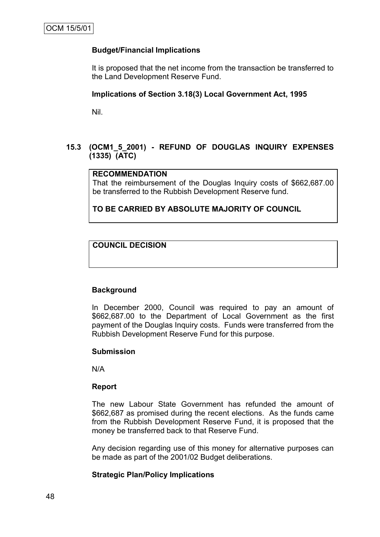## **Budget/Financial Implications**

It is proposed that the net income from the transaction be transferred to the Land Development Reserve Fund.

## **Implications of Section 3.18(3) Local Government Act, 1995**

Nil.

## **15.3 (OCM1\_5\_2001) - REFUND OF DOUGLAS INQUIRY EXPENSES (1335) (ATC)**

### **RECOMMENDATION**

That the reimbursement of the Douglas Inquiry costs of \$662,687.00 be transferred to the Rubbish Development Reserve fund.

**TO BE CARRIED BY ABSOLUTE MAJORITY OF COUNCIL**

## **COUNCIL DECISION**

## **Background**

In December 2000, Council was required to pay an amount of \$662,687.00 to the Department of Local Government as the first payment of the Douglas Inquiry costs. Funds were transferred from the Rubbish Development Reserve Fund for this purpose.

## **Submission**

N/A

## **Report**

The new Labour State Government has refunded the amount of \$662,687 as promised during the recent elections. As the funds came from the Rubbish Development Reserve Fund, it is proposed that the money be transferred back to that Reserve Fund.

Any decision regarding use of this money for alternative purposes can be made as part of the 2001/02 Budget deliberations.

## **Strategic Plan/Policy Implications**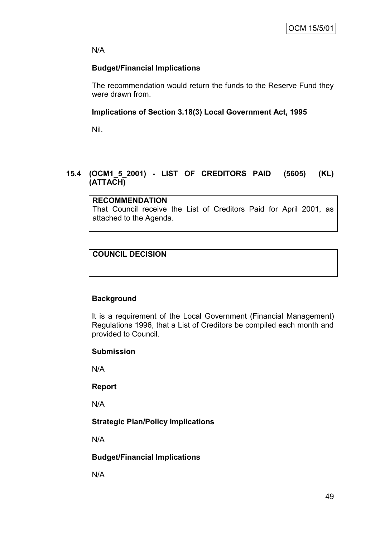N/A

## **Budget/Financial Implications**

The recommendation would return the funds to the Reserve Fund they were drawn from.

## **Implications of Section 3.18(3) Local Government Act, 1995**

Nil.

## **15.4 (OCM1\_5\_2001) - LIST OF CREDITORS PAID (5605) (KL) (ATTACH)**

**RECOMMENDATION** That Council receive the List of Creditors Paid for April 2001, as attached to the Agenda.

## **COUNCIL DECISION**

## **Background**

It is a requirement of the Local Government (Financial Management) Regulations 1996, that a List of Creditors be compiled each month and provided to Council.

## **Submission**

N/A

## **Report**

N/A

## **Strategic Plan/Policy Implications**

N/A

## **Budget/Financial Implications**

N/A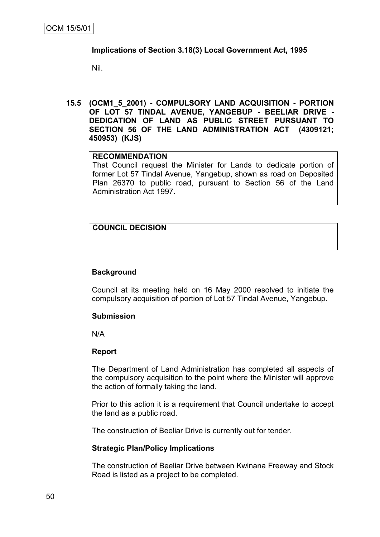## **Implications of Section 3.18(3) Local Government Act, 1995**

Nil.

**15.5 (OCM1\_5\_2001) - COMPULSORY LAND ACQUISITION - PORTION OF LOT 57 TINDAL AVENUE, YANGEBUP - BEELIAR DRIVE - DEDICATION OF LAND AS PUBLIC STREET PURSUANT TO SECTION 56 OF THE LAND ADMINISTRATION ACT (4309121; 450953) (KJS)**

## **RECOMMENDATION**

That Council request the Minister for Lands to dedicate portion of former Lot 57 Tindal Avenue, Yangebup, shown as road on Deposited Plan 26370 to public road, pursuant to Section 56 of the Land Administration Act 1997.

## **COUNCIL DECISION**

## **Background**

Council at its meeting held on 16 May 2000 resolved to initiate the compulsory acquisition of portion of Lot 57 Tindal Avenue, Yangebup.

#### **Submission**

N/A

#### **Report**

The Department of Land Administration has completed all aspects of the compulsory acquisition to the point where the Minister will approve the action of formally taking the land.

Prior to this action it is a requirement that Council undertake to accept the land as a public road.

The construction of Beeliar Drive is currently out for tender.

#### **Strategic Plan/Policy Implications**

The construction of Beeliar Drive between Kwinana Freeway and Stock Road is listed as a project to be completed.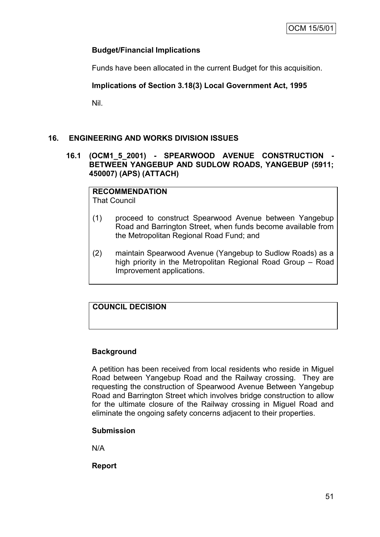## **Budget/Financial Implications**

Funds have been allocated in the current Budget for this acquisition.

## **Implications of Section 3.18(3) Local Government Act, 1995**

Nil.

## **16. ENGINEERING AND WORKS DIVISION ISSUES**

## **16.1 (OCM1\_5\_2001) - SPEARWOOD AVENUE CONSTRUCTION - BETWEEN YANGEBUP AND SUDLOW ROADS, YANGEBUP (5911; 450007) (APS) (ATTACH)**

**RECOMMENDATION** That Council

- (1) proceed to construct Spearwood Avenue between Yangebup Road and Barrington Street, when funds become available from the Metropolitan Regional Road Fund; and
- (2) maintain Spearwood Avenue (Yangebup to Sudlow Roads) as a high priority in the Metropolitan Regional Road Group – Road Improvement applications.

## **COUNCIL DECISION**

## **Background**

A petition has been received from local residents who reside in Miguel Road between Yangebup Road and the Railway crossing. They are requesting the construction of Spearwood Avenue Between Yangebup Road and Barrington Street which involves bridge construction to allow for the ultimate closure of the Railway crossing in Miguel Road and eliminate the ongoing safety concerns adjacent to their properties.

## **Submission**

N/A

**Report**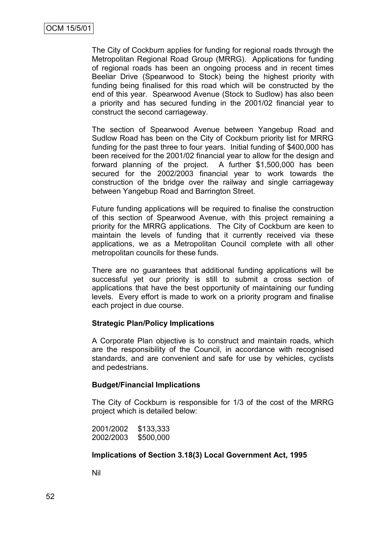The City of Cockburn applies for funding for regional roads through the Metropolitan Regional Road Group (MRRG). Applications for funding of regional roads has been an ongoing process and in recent times Beeliar Drive (Spearwood to Stock) being the highest priority with funding being finalised for this road which will be constructed by the end of this year. Spearwood Avenue (Stock to Sudlow) has also been a priority and has secured funding in the 2001/02 financial year to construct the second carriageway.

The section of Spearwood Avenue between Yangebup Road and Sudlow Road has been on the City of Cockburn priority list for MRRG funding for the past three to four years. Initial funding of \$400,000 has been received for the 2001/02 financial year to allow for the design and forward planning of the project. A further \$1,500,000 has been secured for the 2002/2003 financial year to work towards the construction of the bridge over the railway and single carriageway between Yangebup Road and Barrington Street.

Future funding applications will be required to finalise the construction of this section of Spearwood Avenue, with this project remaining a priority for the MRRG applications. The City of Cockburn are keen to maintain the levels of funding that it currently received via these applications, we as a Metropolitan Council complete with all other metropolitan councils for these funds.

There are no guarantees that additional funding applications will be successful yet our priority is still to submit a cross section of applications that have the best opportunity of maintaining our funding levels. Every effort is made to work on a priority program and finalise each project in due course.

#### **Strategic Plan/Policy Implications**

A Corporate Plan objective is to construct and maintain roads, which are the responsibility of the Council, in accordance with recognised standards, and are convenient and safe for use by vehicles, cyclists and pedestrians.

#### **Budget/Financial Implications**

The City of Cockburn is responsible for 1/3 of the cost of the MRRG project which is detailed below:

2001/2002 \$133,333 2002/2003 \$500,000

#### **Implications of Section 3.18(3) Local Government Act, 1995**

Nil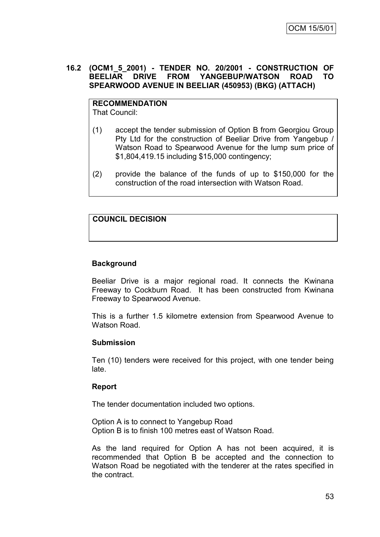### **16.2 (OCM1\_5\_2001) - TENDER NO. 20/2001 - CONSTRUCTION OF BEELIAR DRIVE FROM YANGEBUP/WATSON ROAD TO SPEARWOOD AVENUE IN BEELIAR (450953) (BKG) (ATTACH)**

#### **RECOMMENDATION** That Council:

(1) accept the tender submission of Option B from Georgiou Group Pty Ltd for the construction of Beeliar Drive from Yangebup / Watson Road to Spearwood Avenue for the lump sum price of \$1,804,419.15 including \$15,000 contingency;

(2) provide the balance of the funds of up to \$150,000 for the construction of the road intersection with Watson Road.

## **COUNCIL DECISION**

## **Background**

Beeliar Drive is a major regional road. It connects the Kwinana Freeway to Cockburn Road. It has been constructed from Kwinana Freeway to Spearwood Avenue.

This is a further 1.5 kilometre extension from Spearwood Avenue to Watson Road.

## **Submission**

Ten (10) tenders were received for this project, with one tender being late.

## **Report**

The tender documentation included two options.

Option A is to connect to Yangebup Road Option B is to finish 100 metres east of Watson Road.

As the land required for Option A has not been acquired, it is recommended that Option B be accepted and the connection to Watson Road be negotiated with the tenderer at the rates specified in the contract.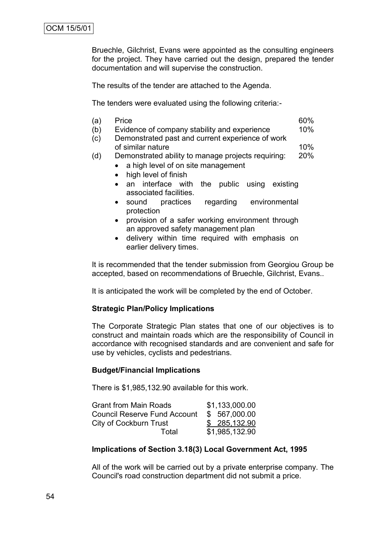Bruechle, Gilchrist, Evans were appointed as the consulting engineers for the project. They have carried out the design, prepared the tender documentation and will supervise the construction.

The results of the tender are attached to the Agenda.

The tenders were evaluated using the following criteria:-

| (a) | <b>Price</b>                                     | 60% |
|-----|--------------------------------------------------|-----|
| (b) | Evidence of company stability and experience     | 10% |
| (c) | Demonstrated past and current experience of work |     |
|     | of similar nature                                | 10% |

(d) Demonstrated ability to manage projects requiring: 20%

• a high level of on site management

- high level of finish
- an interface with the public using existing associated facilities.
- sound practices regarding environmental protection
- provision of a safer working environment through an approved safety management plan
- delivery within time required with emphasis on earlier delivery times.

It is recommended that the tender submission from Georgiou Group be accepted, based on recommendations of Bruechle, Gilchrist, Evans..

It is anticipated the work will be completed by the end of October.

## **Strategic Plan/Policy Implications**

The Corporate Strategic Plan states that one of our objectives is to construct and maintain roads which are the responsibility of Council in accordance with recognised standards and are convenient and safe for use by vehicles, cyclists and pedestrians.

## **Budget/Financial Implications**

There is \$1,985,132.90 available for this work.

| <b>Grant from Main Roads</b>        | \$1,133,000.00 |
|-------------------------------------|----------------|
| <b>Council Reserve Fund Account</b> | \$ 567,000.00  |
| City of Cockburn Trust              | \$ 285,132.90  |
| Total                               | \$1,985,132.90 |

#### **Implications of Section 3.18(3) Local Government Act, 1995**

All of the work will be carried out by a private enterprise company. The Council's road construction department did not submit a price.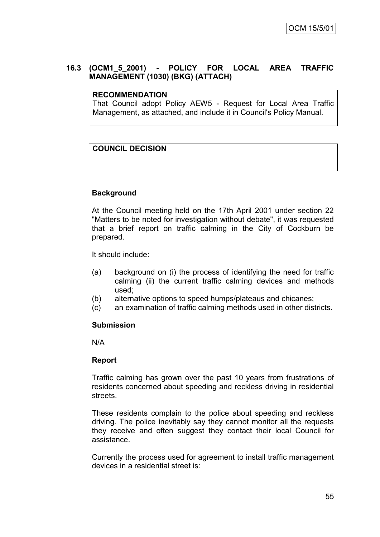## **16.3 (OCM1\_5\_2001) - POLICY FOR LOCAL AREA TRAFFIC MANAGEMENT (1030) (BKG) (ATTACH)**

## **RECOMMENDATION**

That Council adopt Policy AEW5 - Request for Local Area Traffic Management, as attached, and include it in Council's Policy Manual.

## **COUNCIL DECISION**

## **Background**

At the Council meeting held on the 17th April 2001 under section 22 "Matters to be noted for investigation without debate", it was requested that a brief report on traffic calming in the City of Cockburn be prepared.

It should include:

- (a) background on (i) the process of identifying the need for traffic calming (ii) the current traffic calming devices and methods used;
- (b) alternative options to speed humps/plateaus and chicanes;
- (c) an examination of traffic calming methods used in other districts.

#### **Submission**

N/A

#### **Report**

Traffic calming has grown over the past 10 years from frustrations of residents concerned about speeding and reckless driving in residential streets.

These residents complain to the police about speeding and reckless driving. The police inevitably say they cannot monitor all the requests they receive and often suggest they contact their local Council for assistance.

Currently the process used for agreement to install traffic management devices in a residential street is: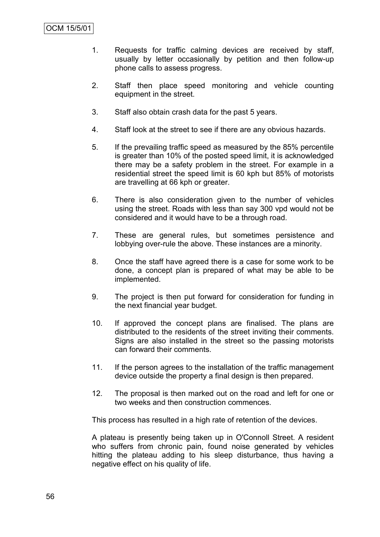- 1. Requests for traffic calming devices are received by staff, usually by letter occasionally by petition and then follow-up phone calls to assess progress.
- 2. Staff then place speed monitoring and vehicle counting equipment in the street.
- 3. Staff also obtain crash data for the past 5 years.
- 4. Staff look at the street to see if there are any obvious hazards.
- 5. If the prevailing traffic speed as measured by the 85% percentile is greater than 10% of the posted speed limit, it is acknowledged there may be a safety problem in the street. For example in a residential street the speed limit is 60 kph but 85% of motorists are travelling at 66 kph or greater.
- 6. There is also consideration given to the number of vehicles using the street. Roads with less than say 300 vpd would not be considered and it would have to be a through road.
- 7. These are general rules, but sometimes persistence and lobbying over-rule the above. These instances are a minority.
- 8. Once the staff have agreed there is a case for some work to be done, a concept plan is prepared of what may be able to be implemented.
- 9. The project is then put forward for consideration for funding in the next financial year budget.
- 10. If approved the concept plans are finalised. The plans are distributed to the residents of the street inviting their comments. Signs are also installed in the street so the passing motorists can forward their comments.
- 11. If the person agrees to the installation of the traffic management device outside the property a final design is then prepared.
- 12. The proposal is then marked out on the road and left for one or two weeks and then construction commences.

This process has resulted in a high rate of retention of the devices.

A plateau is presently being taken up in O'Connoll Street. A resident who suffers from chronic pain, found noise generated by vehicles hitting the plateau adding to his sleep disturbance, thus having a negative effect on his quality of life.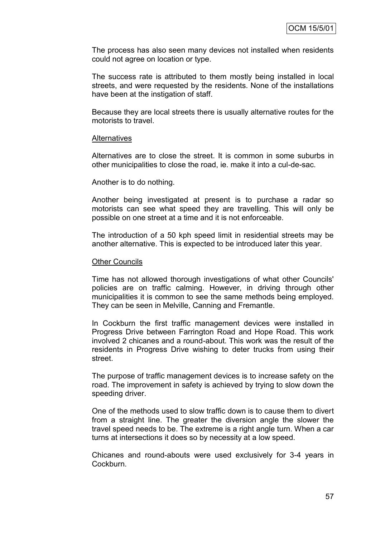The process has also seen many devices not installed when residents could not agree on location or type.

The success rate is attributed to them mostly being installed in local streets, and were requested by the residents. None of the installations have been at the instigation of staff.

Because they are local streets there is usually alternative routes for the motorists to travel.

#### **Alternatives**

Alternatives are to close the street. It is common in some suburbs in other municipalities to close the road, ie. make it into a cul-de-sac.

#### Another is to do nothing.

Another being investigated at present is to purchase a radar so motorists can see what speed they are travelling. This will only be possible on one street at a time and it is not enforceable.

The introduction of a 50 kph speed limit in residential streets may be another alternative. This is expected to be introduced later this year.

#### Other Councils

Time has not allowed thorough investigations of what other Councils' policies are on traffic calming. However, in driving through other municipalities it is common to see the same methods being employed. They can be seen in Melville, Canning and Fremantle.

In Cockburn the first traffic management devices were installed in Progress Drive between Farrington Road and Hope Road. This work involved 2 chicanes and a round-about. This work was the result of the residents in Progress Drive wishing to deter trucks from using their street.

The purpose of traffic management devices is to increase safety on the road. The improvement in safety is achieved by trying to slow down the speeding driver.

One of the methods used to slow traffic down is to cause them to divert from a straight line. The greater the diversion angle the slower the travel speed needs to be. The extreme is a right angle turn. When a car turns at intersections it does so by necessity at a low speed.

Chicanes and round-abouts were used exclusively for 3-4 years in Cockburn.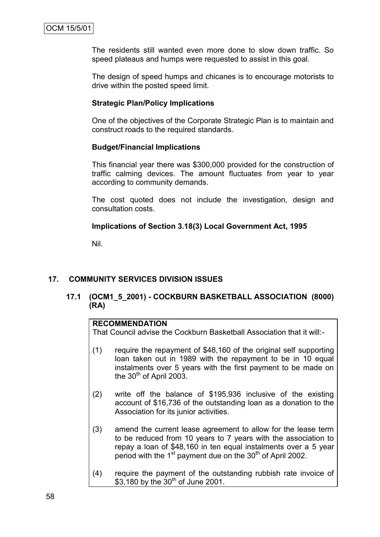The residents still wanted even more done to slow down traffic. So speed plateaus and humps were requested to assist in this goal.

The design of speed humps and chicanes is to encourage motorists to drive within the posted speed limit.

## **Strategic Plan/Policy Implications**

One of the objectives of the Corporate Strategic Plan is to maintain and construct roads to the required standards.

## **Budget/Financial Implications**

This financial year there was \$300,000 provided for the construction of traffic calming devices. The amount fluctuates from year to year according to community demands.

The cost quoted does not include the investigation, design and consultation costs.

## **Implications of Section 3.18(3) Local Government Act, 1995**

Nil.

## **17. COMMUNITY SERVICES DIVISION ISSUES**

## **17.1 (OCM1\_5\_2001) - COCKBURN BASKETBALL ASSOCIATION (8000) (RA)**

## **RECOMMENDATION**

That Council advise the Cockburn Basketball Association that it will:-

- (1) require the repayment of \$48,160 of the original self supporting loan taken out in 1989 with the repayment to be in 10 equal instalments over 5 years with the first payment to be made on the 30<sup>th</sup> of April 2003.
- (2) write off the balance of \$195,936 inclusive of the existing account of \$16,736 of the outstanding loan as a donation to the Association for its junior activities.
- (3) amend the current lease agreement to allow for the lease term to be reduced from 10 years to 7 years with the association to repay a loan of \$48,160 in ten equal instalments over a 5 year period with the  $1<sup>st</sup>$  payment due on the  $30<sup>th</sup>$  of April 2002.
- (4) require the payment of the outstanding rubbish rate invoice of \$3,180 by the  $30^{th}$  of June 2001.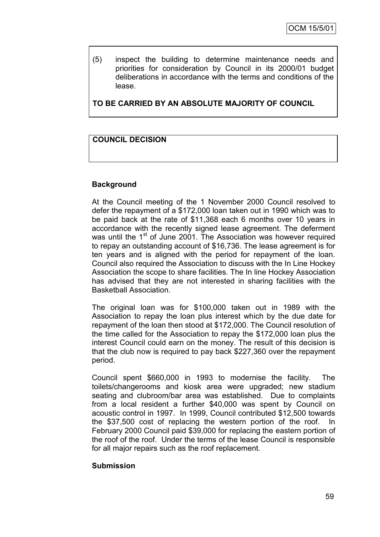(5) inspect the building to determine maintenance needs and priorities for consideration by Council in its 2000/01 budget deliberations in accordance with the terms and conditions of the lease.

**TO BE CARRIED BY AN ABSOLUTE MAJORITY OF COUNCIL**

## **COUNCIL DECISION**

## **Background**

At the Council meeting of the 1 November 2000 Council resolved to defer the repayment of a \$172,000 loan taken out in 1990 which was to be paid back at the rate of \$11,368 each 6 months over 10 years in accordance with the recently signed lease agreement. The deferment was until the 1<sup>st</sup> of June 2001. The Association was however required to repay an outstanding account of \$16,736. The lease agreement is for ten years and is aligned with the period for repayment of the loan. Council also required the Association to discuss with the In Line Hockey Association the scope to share facilities. The In line Hockey Association has advised that they are not interested in sharing facilities with the Basketball Association.

The original loan was for \$100,000 taken out in 1989 with the Association to repay the loan plus interest which by the due date for repayment of the loan then stood at \$172,000. The Council resolution of the time called for the Association to repay the \$172,000 loan plus the interest Council could earn on the money. The result of this decision is that the club now is required to pay back \$227,360 over the repayment period.

Council spent \$660,000 in 1993 to modernise the facility. The toilets/changerooms and kiosk area were upgraded; new stadium seating and clubroom/bar area was established. Due to complaints from a local resident a further \$40,000 was spent by Council on acoustic control in 1997. In 1999, Council contributed \$12,500 towards the \$37,500 cost of replacing the western portion of the roof. In February 2000 Council paid \$39,000 for replacing the eastern portion of the roof of the roof. Under the terms of the lease Council is responsible for all major repairs such as the roof replacement.

#### **Submission**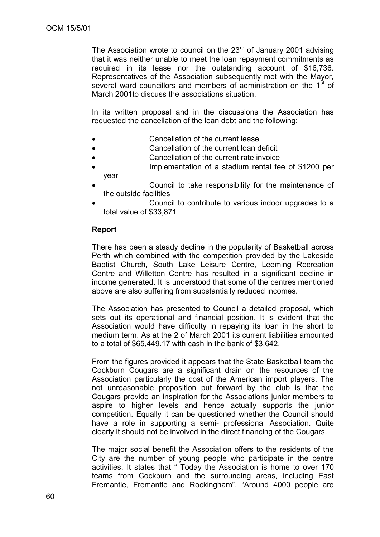The Association wrote to council on the  $23<sup>rd</sup>$  of January 2001 advising that it was neither unable to meet the loan repayment commitments as required in its lease nor the outstanding account of \$16,736. Representatives of the Association subsequently met with the Mayor, several ward councillors and members of administration on the 1<sup>st</sup> of March 2001to discuss the associations situation.

In its written proposal and in the discussions the Association has requested the cancellation of the loan debt and the following:

- Cancellation of the current lease
- Cancellation of the current loan deficit
- Cancellation of the current rate invoice
- Implementation of a stadium rental fee of \$1200 per year
- Council to take responsibility for the maintenance of the outside facilities
- Council to contribute to various indoor upgrades to a total value of \$33,871

## **Report**

There has been a steady decline in the popularity of Basketball across Perth which combined with the competition provided by the Lakeside Baptist Church, South Lake Leisure Centre, Leeming Recreation Centre and Willetton Centre has resulted in a significant decline in income generated. It is understood that some of the centres mentioned above are also suffering from substantially reduced incomes.

The Association has presented to Council a detailed proposal, which sets out its operational and financial position. It is evident that the Association would have difficulty in repaying its loan in the short to medium term. As at the 2 of March 2001 its current liabilities amounted to a total of \$65,449.17 with cash in the bank of \$3,642.

From the figures provided it appears that the State Basketball team the Cockburn Cougars are a significant drain on the resources of the Association particularly the cost of the American import players. The not unreasonable proposition put forward by the club is that the Cougars provide an inspiration for the Associations junior members to aspire to higher levels and hence actually supports the junior competition. Equally it can be questioned whether the Council should have a role in supporting a semi- professional Association. Quite clearly it should not be involved in the direct financing of the Cougars.

The major social benefit the Association offers to the residents of the City are the number of young people who participate in the centre activities. It states that " Today the Association is home to over 170 teams from Cockburn and the surrounding areas, including East Fremantle, Fremantle and Rockingham". "Around 4000 people are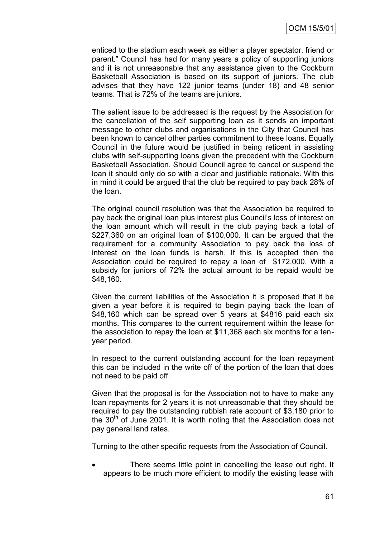enticed to the stadium each week as either a player spectator, friend or parent." Council has had for many years a policy of supporting juniors and it is not unreasonable that any assistance given to the Cockburn Basketball Association is based on its support of juniors. The club advises that they have 122 junior teams (under 18) and 48 senior teams. That is 72% of the teams are juniors.

The salient issue to be addressed is the request by the Association for the cancellation of the self supporting loan as it sends an important message to other clubs and organisations in the City that Council has been known to cancel other parties commitment to these loans. Equally Council in the future would be justified in being reticent in assisting clubs with self-supporting loans given the precedent with the Cockburn Basketball Association. Should Council agree to cancel or suspend the loan it should only do so with a clear and justifiable rationale. With this in mind it could be argued that the club be required to pay back 28% of the loan.

The original council resolution was that the Association be required to pay back the original loan plus interest plus Council"s loss of interest on the loan amount which will result in the club paying back a total of \$227,360 on an original loan of \$100,000. It can be argued that the requirement for a community Association to pay back the loss of interest on the loan funds is harsh. If this is accepted then the Association could be required to repay a loan of \$172,000. With a subsidy for juniors of 72% the actual amount to be repaid would be \$48,160.

Given the current liabilities of the Association it is proposed that it be given a year before it is required to begin paying back the loan of \$48,160 which can be spread over 5 years at \$4816 paid each six months. This compares to the current requirement within the lease for the association to repay the loan at \$11,368 each six months for a tenyear period.

In respect to the current outstanding account for the loan repayment this can be included in the write off of the portion of the loan that does not need to be paid off.

Given that the proposal is for the Association not to have to make any loan repayments for 2 years it is not unreasonable that they should be required to pay the outstanding rubbish rate account of \$3,180 prior to the  $30<sup>th</sup>$  of June 2001. It is worth noting that the Association does not pay general land rates.

Turning to the other specific requests from the Association of Council.

 There seems little point in cancelling the lease out right. It appears to be much more efficient to modify the existing lease with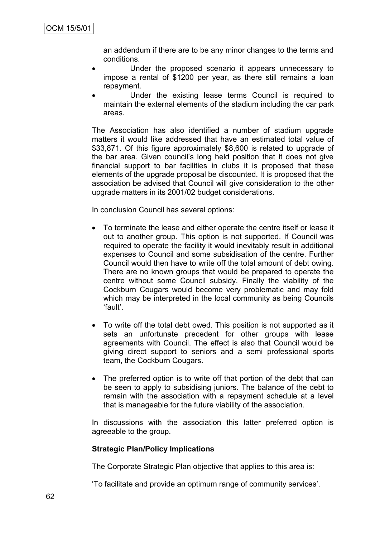an addendum if there are to be any minor changes to the terms and conditions.

- Under the proposed scenario it appears unnecessary to impose a rental of \$1200 per year, as there still remains a loan repayment.
- Under the existing lease terms Council is required to maintain the external elements of the stadium including the car park areas.

The Association has also identified a number of stadium upgrade matters it would like addressed that have an estimated total value of \$33,871. Of this figure approximately \$8,600 is related to upgrade of the bar area. Given council"s long held position that it does not give financial support to bar facilities in clubs it is proposed that these elements of the upgrade proposal be discounted. It is proposed that the association be advised that Council will give consideration to the other upgrade matters in its 2001/02 budget considerations.

In conclusion Council has several options:

- To terminate the lease and either operate the centre itself or lease it out to another group. This option is not supported. If Council was required to operate the facility it would inevitably result in additional expenses to Council and some subsidisation of the centre. Further Council would then have to write off the total amount of debt owing. There are no known groups that would be prepared to operate the centre without some Council subsidy. Finally the viability of the Cockburn Cougars would become very problematic and may fold which may be interpreted in the local community as being Councils "fault".
- To write off the total debt owed. This position is not supported as it sets an unfortunate precedent for other groups with lease agreements with Council. The effect is also that Council would be giving direct support to seniors and a semi professional sports team, the Cockburn Cougars.
- The preferred option is to write off that portion of the debt that can be seen to apply to subsidising juniors. The balance of the debt to remain with the association with a repayment schedule at a level that is manageable for the future viability of the association.

In discussions with the association this latter preferred option is agreeable to the group.

#### **Strategic Plan/Policy Implications**

The Corporate Strategic Plan objective that applies to this area is:

"To facilitate and provide an optimum range of community services".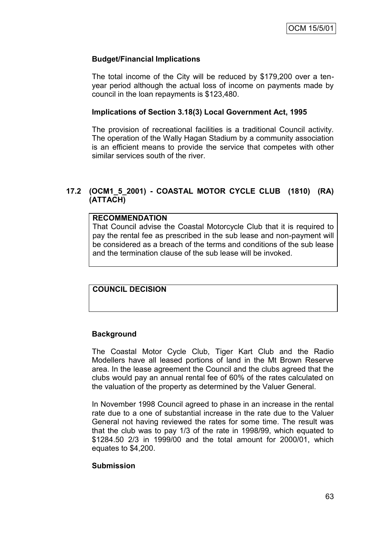## **Budget/Financial Implications**

The total income of the City will be reduced by \$179,200 over a tenyear period although the actual loss of income on payments made by council in the loan repayments is \$123,480.

### **Implications of Section 3.18(3) Local Government Act, 1995**

The provision of recreational facilities is a traditional Council activity. The operation of the Wally Hagan Stadium by a community association is an efficient means to provide the service that competes with other similar services south of the river.

## **17.2 (OCM1\_5\_2001) - COASTAL MOTOR CYCLE CLUB (1810) (RA) (ATTACH)**

## **RECOMMENDATION**

That Council advise the Coastal Motorcycle Club that it is required to pay the rental fee as prescribed in the sub lease and non-payment will be considered as a breach of the terms and conditions of the sub lease and the termination clause of the sub lease will be invoked.

## **COUNCIL DECISION**

## **Background**

The Coastal Motor Cycle Club, Tiger Kart Club and the Radio Modellers have all leased portions of land in the Mt Brown Reserve area. In the lease agreement the Council and the clubs agreed that the clubs would pay an annual rental fee of 60% of the rates calculated on the valuation of the property as determined by the Valuer General.

In November 1998 Council agreed to phase in an increase in the rental rate due to a one of substantial increase in the rate due to the Valuer General not having reviewed the rates for some time. The result was that the club was to pay 1/3 of the rate in 1998/99, which equated to \$1284.50 2/3 in 1999/00 and the total amount for 2000/01, which equates to \$4,200.

## **Submission**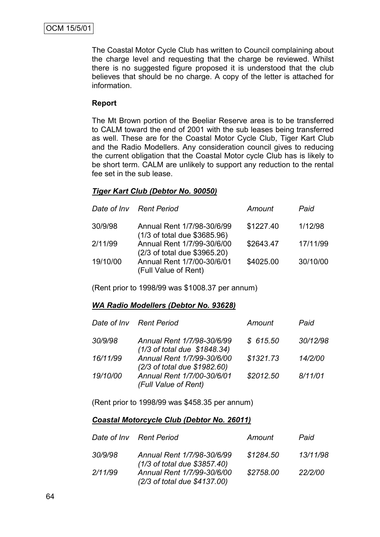The Coastal Motor Cycle Club has written to Council complaining about the charge level and requesting that the charge be reviewed. Whilst there is no suggested figure proposed it is understood that the club believes that should be no charge. A copy of the letter is attached for information.

## **Report**

The Mt Brown portion of the Beeliar Reserve area is to be transferred to CALM toward the end of 2001 with the sub leases being transferred as well. These are for the Coastal Motor Cycle Club, Tiger Kart Club and the Radio Modellers. Any consideration council gives to reducing the current obligation that the Coastal Motor cycle Club has is likely to be short term. CALM are unlikely to support any reduction to the rental fee set in the sub lease.

### *Tiger Kart Club (Debtor No. 90050)*

|          | Date of Inv Rent Period                                    | Amount    | Paid     |
|----------|------------------------------------------------------------|-----------|----------|
| 30/9/98  | Annual Rent 1/7/98-30/6/99<br>(1/3 of total due \$3685.96) | \$1227.40 | 1/12/98  |
| 2/11/99  | Annual Rent 1/7/99-30/6/00<br>(2/3 of total due \$3965.20) | \$2643.47 | 17/11/99 |
| 19/10/00 | Annual Rent 1/7/00-30/6/01<br>(Full Value of Rent)         | \$4025.00 | 30/10/00 |

(Rent prior to 1998/99 was \$1008.37 per annum)

## *WA Radio Modellers (Debtor No. 93628)*

|          | Date of Inv Rent Period                                    | Amount    | Paid     |
|----------|------------------------------------------------------------|-----------|----------|
| 30/9/98  | Annual Rent 1/7/98-30/6/99<br>(1/3 of total due \$1848.34) | \$615.50  | 30/12/98 |
| 16/11/99 | Annual Rent 1/7/99-30/6/00<br>(2/3 of total due \$1982.60) | \$1321.73 | 14/2/00  |
| 19/10/00 | Annual Rent 1/7/00-30/6/01<br>(Full Value of Rent)         | \$2012.50 | 8/11/01  |

(Rent prior to 1998/99 was \$458.35 per annum)

### *Coastal Motorcycle Club (Debtor No. 26011)*

|         | Date of Inv Rent Period                                    | Amount    | Paid     |
|---------|------------------------------------------------------------|-----------|----------|
| 30/9/98 | Annual Rent 1/7/98-30/6/99<br>(1/3 of total due \$3857.40) | \$1284.50 | 13/11/98 |
| 2/11/99 | Annual Rent 1/7/99-30/6/00<br>(2/3 of total due \$4137.00) | \$2758.00 | 22/2/00  |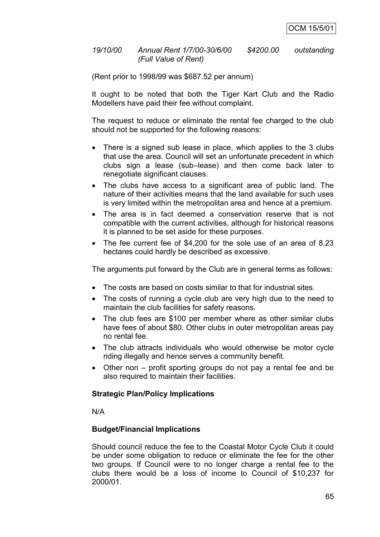### *19/10/00 Annual Rent 1/7/00-30/6/00 \$4200.00 outstanding (Full Value of Rent)*

(Rent prior to 1998/99 was \$687.52 per annum)

It ought to be noted that both the Tiger Kart Club and the Radio Modellers have paid their fee without complaint.

The request to reduce or eliminate the rental fee charged to the club should not be supported for the following reasons:

- There is a signed sub lease in place, which applies to the 3 clubs that use the area. Council will set an unfortunate precedent in which clubs sign a lease (sub–lease) and then come back later to renegotiate significant clauses.
- The clubs have access to a significant area of public land. The nature of their activities means that the land available for such uses is very limited within the metropolitan area and hence at a premium.
- The area is in fact deemed a conservation reserve that is not compatible with the current activities, although for historical reasons it is planned to be set aside for these purposes.
- The fee current fee of \$4,200 for the sole use of an area of 8.23 hectares could hardly be described as excessive.

The arguments put forward by the Club are in general terms as follows:

- The costs are based on costs similar to that for industrial sites.
- The costs of running a cycle club are very high due to the need to maintain the club facilities for safety reasons.
- The club fees are \$100 per member where as other similar clubs have fees of about \$80. Other clubs in outer metropolitan areas pay no rental fee.
- The club attracts individuals who would otherwise be motor cycle riding illegally and hence serves a community benefit.
- Other non profit sporting groups do not pay a rental fee and be also required to maintain their facilities.

## **Strategic Plan/Policy Implications**

N/A

## **Budget/Financial Implications**

Should council reduce the fee to the Coastal Motor Cycle Club it could be under some obligation to reduce or eliminate the fee for the other two groups. If Council were to no longer charge a rental fee to the clubs there would be a loss of income to Council of \$10,237 for 2000/01.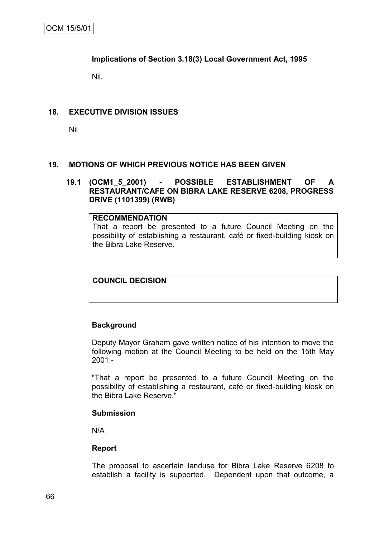## **Implications of Section 3.18(3) Local Government Act, 1995**

Nil.

## **18. EXECUTIVE DIVISION ISSUES**

Nil

## **19. MOTIONS OF WHICH PREVIOUS NOTICE HAS BEEN GIVEN**

## **19.1 (OCM1\_5\_2001) - POSSIBLE ESTABLISHMENT OF A RESTAURANT/CAFE ON BIBRA LAKE RESERVE 6208, PROGRESS DRIVE (1101399) (RWB)**

#### **RECOMMENDATION**

That a report be presented to a future Council Meeting on the possibility of establishing a restaurant, café or fixed-building kiosk on the Bibra Lake Reserve.

**COUNCIL DECISION**

## **Background**

Deputy Mayor Graham gave written notice of his intention to move the following motion at the Council Meeting to be held on the 15th May 2001:-

"That a report be presented to a future Council Meeting on the possibility of establishing a restaurant, café or fixed-building kiosk on the Bibra Lake Reserve."

#### **Submission**

N/A

## **Report**

The proposal to ascertain landuse for Bibra Lake Reserve 6208 to establish a facility is supported. Dependent upon that outcome, a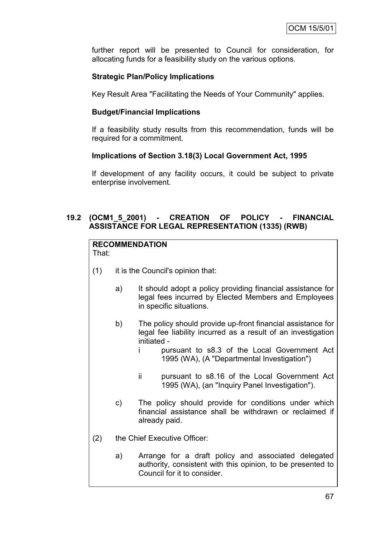further report will be presented to Council for consideration, for allocating funds for a feasibility study on the various options.

# **Strategic Plan/Policy Implications**

Key Result Area "Facilitating the Needs of Your Community" applies.

## **Budget/Financial Implications**

If a feasibility study results from this recommendation, funds will be required for a commitment.

## **Implications of Section 3.18(3) Local Government Act, 1995**

If development of any facility occurs, it could be subject to private enterprise involvement.

# **19.2 (OCM1\_5\_2001) - CREATION OF POLICY - FINANCIAL ASSISTANCE FOR LEGAL REPRESENTATION (1335) (RWB)**

# **RECOMMENDATION**

That:

- (1) it is the Council's opinion that:
	- a) It should adopt a policy providing financial assistance for legal fees incurred by Elected Members and Employees in specific situations.
	- b) The policy should provide up-front financial assistance for legal fee liability incurred as a result of an investigation initiated
		- i pursuant to s8.3 of the Local Government Act 1995 (WA), (A "Departmental Investigation")
		- ii pursuant to s8.16 of the Local Government Act 1995 (WA), (an "Inquiry Panel Investigation").
	- c) The policy should provide for conditions under which financial assistance shall be withdrawn or reclaimed if already paid.
- (2) the Chief Executive Officer:
	- a) Arrange for a draft policy and associated delegated authority, consistent with this opinion, to be presented to Council for it to consider.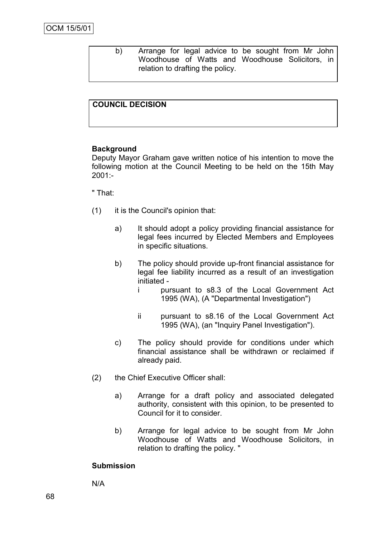b) Arrange for legal advice to be sought from Mr John Woodhouse of Watts and Woodhouse Solicitors, in relation to drafting the policy.

# **COUNCIL DECISION**

#### **Background**

Deputy Mayor Graham gave written notice of his intention to move the following motion at the Council Meeting to be held on the 15th May 2001:-

#### " That:

- (1) it is the Council's opinion that:
	- a) It should adopt a policy providing financial assistance for legal fees incurred by Elected Members and Employees in specific situations.
	- b) The policy should provide up-front financial assistance for legal fee liability incurred as a result of an investigation initiated
		- i pursuant to s8.3 of the Local Government Act 1995 (WA), (A "Departmental Investigation")
		- ii pursuant to s8.16 of the Local Government Act 1995 (WA), (an "Inquiry Panel Investigation").
	- c) The policy should provide for conditions under which financial assistance shall be withdrawn or reclaimed if already paid.
- (2) the Chief Executive Officer shall:
	- a) Arrange for a draft policy and associated delegated authority, consistent with this opinion, to be presented to Council for it to consider.
	- b) Arrange for legal advice to be sought from Mr John Woodhouse of Watts and Woodhouse Solicitors, in relation to drafting the policy. "

#### **Submission**

N/A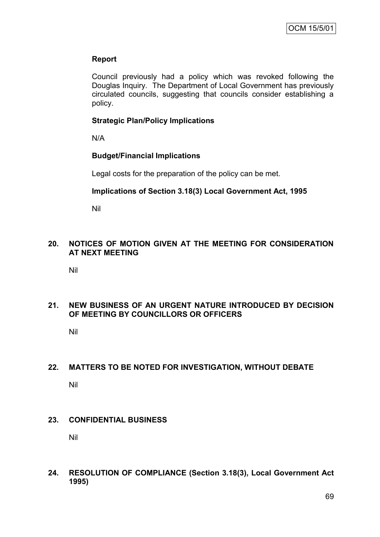#### **Report**

Council previously had a policy which was revoked following the Douglas Inquiry. The Department of Local Government has previously circulated councils, suggesting that councils consider establishing a policy.

## **Strategic Plan/Policy Implications**

N/A

## **Budget/Financial Implications**

Legal costs for the preparation of the policy can be met.

#### **Implications of Section 3.18(3) Local Government Act, 1995**

Nil

#### **20. NOTICES OF MOTION GIVEN AT THE MEETING FOR CONSIDERATION AT NEXT MEETING**

Nil

## **21. NEW BUSINESS OF AN URGENT NATURE INTRODUCED BY DECISION OF MEETING BY COUNCILLORS OR OFFICERS**

Nil

# **22. MATTERS TO BE NOTED FOR INVESTIGATION, WITHOUT DEBATE**

Nil

#### **23. CONFIDENTIAL BUSINESS**

Nil

**24. RESOLUTION OF COMPLIANCE (Section 3.18(3), Local Government Act 1995)**